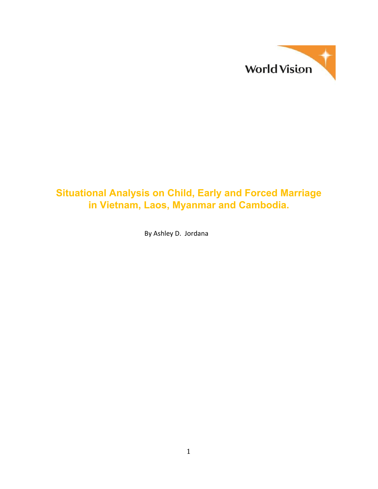

# **Situational Analysis on Child, Early and Forced Marriage in Vietnam, Laos, Myanmar and Cambodia.**

By Ashley D. Jordana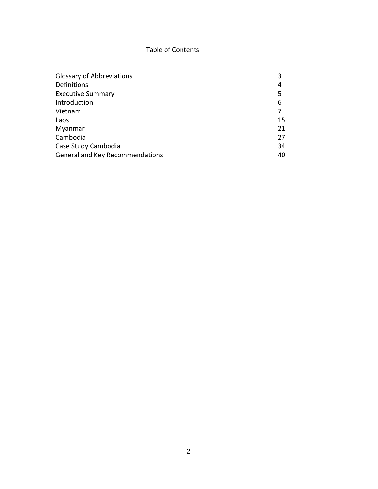# Table of Contents

| <b>Glossary of Abbreviations</b> | 3  |
|----------------------------------|----|
| Definitions                      | 4  |
| <b>Executive Summary</b>         | 5  |
| Introduction                     | 6  |
| Vietnam                          |    |
| Laos                             | 15 |
| Myanmar                          | 21 |
| Cambodia                         | 27 |
| Case Study Cambodia              | 34 |
| General and Key Recommendations  | 40 |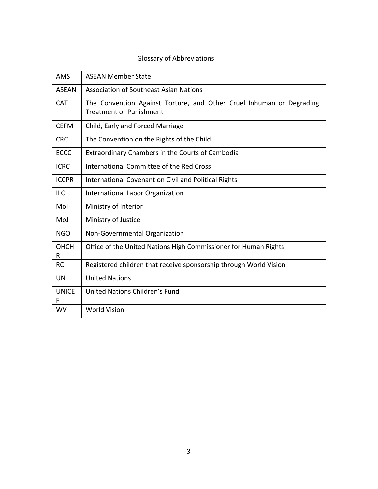# Glossary of Abbreviations

| <b>AMS</b>       | <b>ASEAN Member State</b>                                                                              |
|------------------|--------------------------------------------------------------------------------------------------------|
| <b>ASFAN</b>     | Association of Southeast Asian Nations                                                                 |
| <b>CAT</b>       | The Convention Against Torture, and Other Cruel Inhuman or Degrading<br><b>Treatment or Punishment</b> |
| <b>CEFM</b>      | Child, Early and Forced Marriage                                                                       |
| <b>CRC</b>       | The Convention on the Rights of the Child                                                              |
| <b>ECCC</b>      | <b>Extraordinary Chambers in the Courts of Cambodia</b>                                                |
| <b>ICRC</b>      | International Committee of the Red Cross                                                               |
| <b>ICCPR</b>     | International Covenant on Civil and Political Rights                                                   |
| <b>ILO</b>       | International Labor Organization                                                                       |
| Mol              | Ministry of Interior                                                                                   |
| MoJ              | Ministry of Justice                                                                                    |
| <b>NGO</b>       | Non-Governmental Organization                                                                          |
| <b>OHCH</b><br>R | Office of the United Nations High Commissioner for Human Rights                                        |
| <b>RC</b>        | Registered children that receive sponsorship through World Vision                                      |
| <b>UN</b>        | <b>United Nations</b>                                                                                  |
| <b>UNICE</b>     | United Nations Children's Fund                                                                         |
| <b>WV</b>        | <b>World Vision</b>                                                                                    |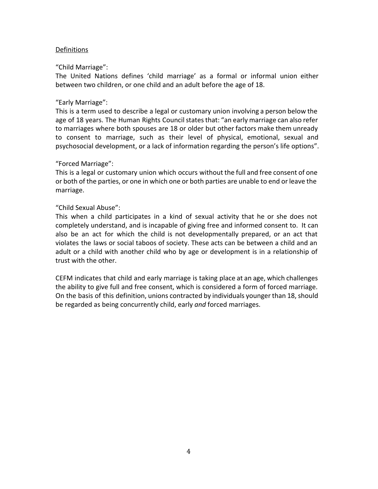### Definitions

#### "Child Marriage":

The United Nations defines 'child marriage' as a formal or informal union either between two children, or one child and an adult before the age of 18.

#### "Early Marriage":

This is a term used to describe a legal or customary union involving a person below the age of 18 years. The Human Rights Council states that: "an early marriage can also refer to marriages where both spouses are 18 or older but other factors make them unready to consent to marriage, such as their level of physical, emotional, sexual and psychosocial development, or a lack of information regarding the person's life options".

#### "Forced Marriage":

This is a legal or customary union which occurs without the full and free consent of one or both of the parties, or one in which one or both parties are unable to end or leave the marriage.

# "Child Sexual Abuse":

This when a child participates in a kind of sexual activity that he or she does not completely understand, and is incapable of giving free and informed consent to. It can also be an act for which the child is not developmentally prepared, or an act that violates the laws or social taboos of society. These acts can be between a child and an adult or a child with another child who by age or development is in a relationship of trust with the other.

CEFM indicates that child and early marriage is taking place at an age, which challenges the ability to give full and free consent, which is considered a form of forced marriage. On the basis of this definition, unions contracted by individuals younger than 18, should be regarded as being concurrently child, early *and* forced marriages.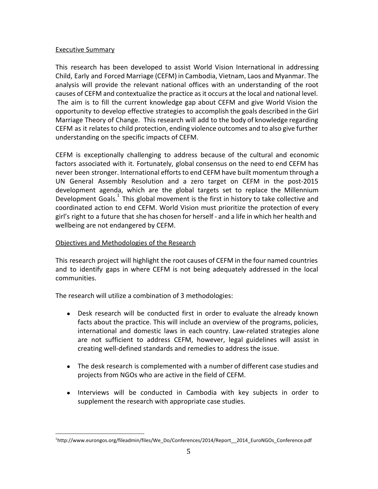### Executive Summary

This research has been developed to assist World Vision International in addressing Child, Early and Forced Marriage (CEFM) in Cambodia, Vietnam, Laos and Myanmar. The analysis will provide the relevant national offices with an understanding of the root causes of CEFM and contextualize the practice as it occurs at the local and national level. The aim is to fill the current knowledge gap about CEFM and give World Vision the opportunity to develop effective strategies to accomplish the goals described in the Girl Marriage Theory of Change. This research will add to the body of knowledge regarding CEFM as it relates to child protection, ending violence outcomes and to also give further understanding on the specific impacts of CEFM.

CEFM is exceptionally challenging to address because of the cultural and economic factors associated with it. Fortunately, global consensus on the need to end CEFM has never been stronger. International efforts to end CEFM have built momentum through a UN General Assembly Resolution and a zero target on CEFM in the post-2015 development agenda, which are the global targets set to replace the Millennium Development Goals.<sup>1</sup> This global movement is the first in history to take collective and coordinated action to end CEFM. World Vision must prioritize the protection of every girl's right to a future that she has chosen for herself - and a life in which her health and wellbeing are not endangered by CEFM.

# Objectives and Methodologies of the Research

This research project will highlight the root causes of CEFM in the four named countries and to identify gaps in where CEFM is not being adequately addressed in the local communities.

The research will utilize a combination of 3 methodologies:

- Desk research will be conducted first in order to evaluate the already known facts about the practice. This will include an overview of the programs, policies, international and domestic laws in each country. Law-related strategies alone are not sufficient to address CEFM, however, legal guidelines will assist in creating well-defined standards and remedies to address the issue.
- The desk research is complemented with a number of different case studies and projects from NGOs who are active in the field of CEFM.
- Interviews will be conducted in Cambodia with key subjects in order to supplement the research with appropriate case studies.

<sup>1</sup>http://www.eurongos.org/fileadmin/files/We\_Do/Conferences/2014/Report\_\_2014\_EuroNGOs\_Conference.pdf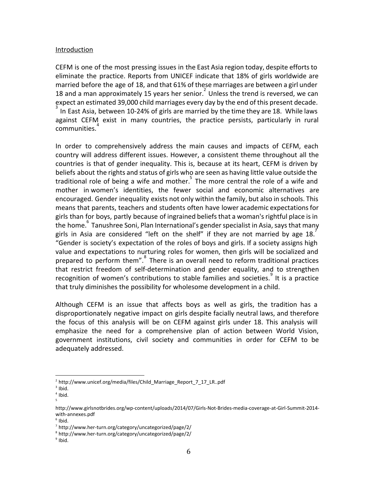#### Introduction

CEFM is one of the most pressing issues in the East Asia region today, despite efforts to eliminate the practice. Reports from UNICEF indicate that 18% of girls worldwide are married before the age of 18, and that 61% of these marriages are between a girl under 18 and a man approximately 15 years her senior.<sup>2</sup> Unless the trend is reversed, we can expect an estimated 39,000 child marriages every day by the end of this present decade. In East Asia, between 10-24% of girls are married by the time they are 18. While laws against CEFM exist in many countries, the practice persists, particularly in rural communities.<sup>4</sup>

In order to comprehensively address the main causes and impacts of CEFM, each country will address different issues. However, a consistent theme throughout all the countries is that of gender inequality. This is, because at its heart, CEFM is driven by beliefs about the rights and status of girls who are seen as having little value outside the traditional role of being a wife and mother. $\frac{3}{5}$  The more central the role of a wife and mother in women's identities, the fewer social and economic alternatives are encouraged. Gender inequality exists not only within the family, but also in schools. This means that parents, teachers and students often have lower academic expectationsfor girls than for boys, partly because of ingrained beliefsthat a woman'srightful place isin the home. Tanushree Soni, Plan International's gender specialist in Asia, says that many girls in Asia are considered "left on the shelf" if they are not married by age 18. "Gender is society's expectation of the roles of boys and girls. If a society assigns high value and expectations to nurturing roles for women, then girls will be socialized and prepared to perform them".<sup>8</sup> There is an overall need to reform traditional practices that restrict freedom of self-determination and gender equality, and to strengthen recognition of women's contributions to stable families and societies.<sup>9</sup> It is a practice that truly diminishes the possibility for wholesome development in a child.

Although CEFM is an issue that affects boys as well as girls, the tradition has a disproportionately negative impact on girls despite facially neutral laws, and therefore the focus of this analysis will be on CEFM against girls under 18. This analysis will emphasize the need for a comprehensive plan of action between World Vision, government institutions, civil society and communities in order for CEFM to be adequately addressed.

<sup>&</sup>lt;sup>2</sup> http://www.unicef.org/media/files/Child\_Marriage\_Report\_7\_17\_LR..pdf

 $3$  Ibid.

 $4$  Ibid. 5

http://www.girlsnotbrides.org/wp-content/uploads/2014/07/Girls-Not-Brides-media-coverage-at-Girl-Summit-2014 with-annexes.pdf

 $6$  Ibid.

<sup>7</sup> http://www.her-turn.org/category/uncategorized/page/2/

<sup>8</sup> http://www.her-turn.org/category/uncategorized/page/2/

<sup>&</sup>lt;sup>9</sup> Ibid.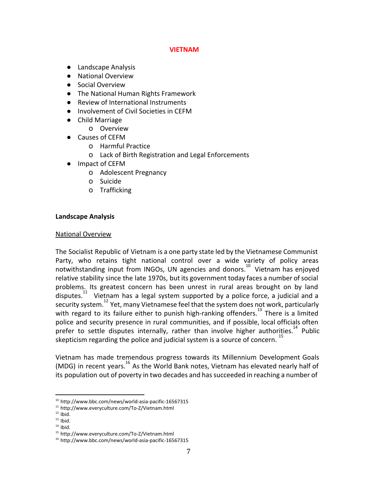#### **VIETNAM**

- Landscape Analysis
- National Overview
- Social Overview
- The National Human Rights Framework
- Review of International Instruments
- Involvement of Civil Societies in CEFM
- Child Marriage
	- o Overview
- Causes of CEFM
	- o Harmful Practice
	- o Lack of Birth Registration and Legal Enforcements
- Impact of CEFM
	- o Adolescent Pregnancy
	- o Suicide
	- o Trafficking

#### **Landscape Analysis**

#### National Overview

The Socialist Republic of Vietnam is a one party state led by the Vietnamese Communist Party, who retains tight national control over a wide variety of policy areas notwithstanding input from INGOs, UN agencies and donors.<sup>10</sup> Vietnam has enjoyed relative stability since the late 1970s, but its government today faces a number of social problems. Its greatest concern has been unrest in rural areas brought on by land disputes. $11$  Vietnam has a legal system supported by a police force, a judicial and a security system.<sup>12</sup> Yet, many Vietnamese feel that the system does not work, particularly with regard to its failure either to punish high-ranking offenders.<sup>13</sup> There is a limited police and security presence in rural communities, and if possible, local officials often prefer to settle disputes internally, rather than involve higher authorities.<sup>14</sup> Public skepticism regarding the police and judicial system is a source of concern.<sup>15</sup>

Vietnam has made tremendous progress towards its Millennium Development Goals (MDG) in recent years.  $16$  As the World Bank notes, Vietnam has elevated nearly half of its population out of poverty in two decades and has succeeded in reaching a number of

<sup>10</sup> http://www.bbc.com/news/world-asia-pacific-16567315

<sup>11</sup> http://www.everyculture.com/To-Z/Vietnam.html

 $12$  Ibid.

 $13$  Ibid.

 $14$  Ibid.

<sup>15</sup> http://www.everyculture.com/To-Z/Vietnam.html

<sup>16</sup> http://www.bbc.com/news/world-asia-pacific-16567315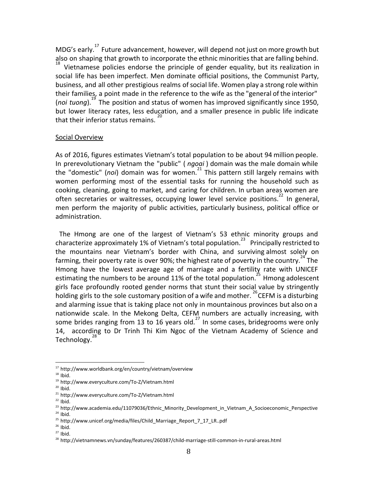MDG's early.<sup>17</sup> Future advancement, however, will depend not just on more growth but also on shaping that growth to incorporate the ethnic minorities that are falling behind.  $\frac{18}{18}$  Vietnamese policies endorse the principle of gender equality, but its realization in social life has been imperfect. Men dominate official positions, the Communist Party, business, and all other prestigious realms of social life. Women play a strong role within their families, a point made in the reference to the wife as the "general of the interior" (noi tuong).<sup>19</sup> The position and status of women has improved significantly since 1950. but lower literacy rates, less education, and a smaller presence in public life indicate that their inferior status remains.  $2^{\alpha}$ 

#### Social Overview

As of 2016, figures estimates Vietnam's total population to be about 94 million people. In prerevolutionary Vietnam the "public" ( *ngoai* ) domain was the male domain while the "domestic" (noi) domain was for women.<sup>21</sup> This pattern still largely remains with women performing most of the essential tasks for running the household such as cooking, cleaning, going to market, and caring for children. In urban areas women are often secretaries or waitresses, occupying lower level service positions.<sup>22</sup> In general, men perform the majority of public activities, particularly business, political office or administration.

The Hmong are one of the largest of Vietnam's 53 ethnic minority groups and characterize approximately 1% of Vietnam's total population.<sup>23</sup> Principally restricted to the mountains near Vietnam's border with China, and surviving almost solely on farming, their poverty rate is over 90%; the highest rate of poverty in the country.  $44$  The Hmong have the lowest average age of marriage and a fertility rate with UNICEF estimating the numbers to be around 11% of the total population.<sup>25</sup> Hmong adolescent girls face profoundly rooted gender norms that stunt their social value by stringently holding girls to the sole customary position of a wife and mother.  $\sim$  CEFM is a disturbing and alarming issue that is taking place not only in mountainous provinces but also on a nationwide scale. In the Mekong Delta, CEFM numbers are actually increasing, with some brides ranging from 13 to 16 years old. $^{27}$  In some cases, bridegrooms were only 14, according to Dr Trinh Thi Kim Ngoc of the Vietnam Academy of Science and Technology.<sup>28</sup>

 $22$  Ibid.

<sup>17</sup> http://www.worldbank.org/en/country/vietnam/overview

 $18$  Ibid.

<sup>19</sup> http://www.everyculture.com/To-Z/Vietnam.html

 $20$  Ibid.

<sup>21</sup> http://www.everyculture.com/To-Z/Vietnam.html

<sup>&</sup>lt;sup>23</sup> http://www.academia.edu/11079036/Ethnic\_Minority\_Development\_in\_Vietnam\_A\_Socioeconomic\_Perspective  $24$  Ibid.

<sup>&</sup>lt;sup>25</sup> http://www.unicef.org/media/files/Child\_Marriage\_Report\_7\_17\_LR..pdf

 $26$  Ibid.

 $27$  Ibid.

<sup>28</sup> http://vietnamnews.vn/sunday/features/260387/child-marriage-still-common-in-rural-areas.html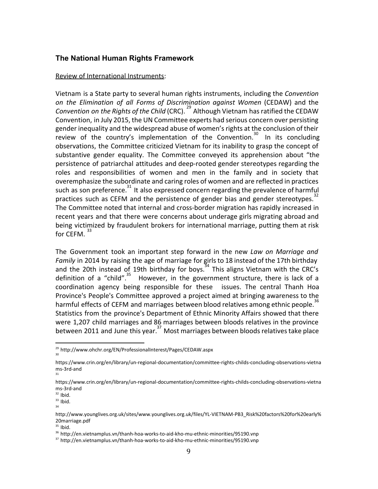# **The National Human Rights Framework**

#### Review of International Instruments:

Vietnam is a State party to several human rights instruments, including the *Convention on the Elimination of all Forms of Discrimination against Women* (CEDAW) and the *Convention on the Rights of the Child* (CRC).<sup>29</sup> Although Vietnam has ratified the CEDAW Convention, in July 2015, the UN Committee experts had serious concern over persisting gender inequality and the widespread abuse of women'srights at the conclusion of their review of the country's implementation of the Convention.<sup>30</sup> In its [concluding](http://bit.ly/1KuRQZM) [observations,](http://bit.ly/1KuRQZM) the Committee criticized Vietnam for its inability to grasp the concept of substantive gender equality. The Committee conveyed its apprehension about "the persistence of patriarchal attitudes and deep-rooted gender stereotypes regarding the roles and responsibilities of women and men in the family and in society that overemphasize the subordinate and caring roles of women and are reflected in practices such as son preference.<sup>31</sup> It also expressed concern regarding the prevalence of harmful practices such as CEFM and the persistence of gender bias and gender stereotypes.<sup>32</sup> The Committee noted that internal and cross-border migration has rapidly increased in recent years and that there were concerns about underage girls migrating abroad and being victimized by fraudulent brokers for international marriage, putting them at risk for CEFM.<sup>33</sup>

The Government took an important step forward in the new *Law on Marriage and* Family in 2014 by raising the age of marriage for girls to 18 instead of the 17th birthday and the 20th instead of 19th birthday for boys. $34$  This aligns Vietnam with the CRC's definition of a "child".  $35$  However, in the government structure, there is lack of a coordination agency being responsible for these issues. The central Thanh Hoa Province's People's Committee approved a project aimed at bringing awareness to the harmful effects of CEFM and marriages between blood relatives among ethnic people.<sup>31</sup> Statistics from the province's Department of Ethnic Minority Affairs showed that there were 1,207 child marriages and 86 marriages between bloods relatives in the province between 2011 and June this year.<sup>37</sup> Most marriages between bloods relatives take place

 $35$  Ibid.

<sup>29</sup> http://www.ohchr.org/EN/ProfessionalInterest/Pages/CEDAW.aspx

<sup>30</sup>

https://www.crin.org/en/library/un-regional-documentation/committee-rights-childs-concluding-observations-vietna ms-3rd-and 31

https://www.crin.org/en/library/un-regional-documentation/committee-rights-childs-concluding-observations-vietna ms-3rd-and

 $32$  Ibid.

 $33$  Ibid.

<sup>34</sup>

http://www.younglives.org.uk/sites/www.younglives.org.uk/files/YL-VIETNAM-PB3\_Risk%20factors%20for%20early% 20marriage.pdf

<sup>36</sup> http://en.vietnamplus.vn/thanh-hoa-works-to-aid-kho-mu-ethnic-minorities/95190.vnp

<sup>37</sup> http://en.vietnamplus.vn/thanh-hoa-works-to-aid-kho-mu-ethnic-minorities/95190.vnp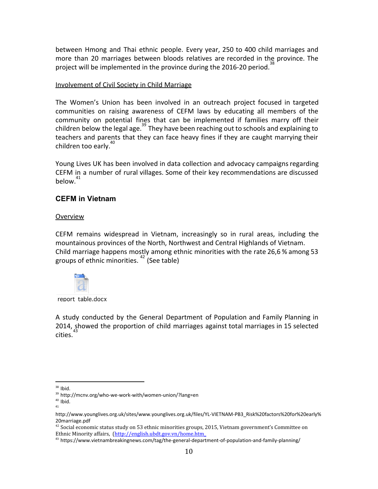between Hmong and Thai ethnic people. Every year, 250 to 400 child marriages and more than 20 marriages between bloods relatives are recorded in the province. The project will be implemented in the province during the 2016-20 period.<sup>3</sup>

### Involvement of Civil Society in Child Marriage

The Women's Union has been involved in an outreach project focused in targeted communities on raising awareness of CEFM laws by educating all members of the community on potential fines that can be implemented if families marry off their children below the legal age. $^{39}$  They have been reaching out to schools and explaining to teachers and parents that they can face heavy fines if they are caught marrying their children too early.<sup>4</sup>

Young Lives UK has been involved in data collection and advocacy campaigns regarding CEFM in a number of rural villages. Some of their key recommendations are discussed  $below.<sup>41</sup>$ 

# **CEFM in Vietnam**

#### Overview

CEFM remains widespread in Vietnam, increasingly so in rural areas, including the mountainous provinces of the North, Northwest and Central Highlands of Vietnam. Child marriage happens mostly among ethnic minorities with the rate 26,6 % among 53 groups of ethnic minorities.  $42 \text{ (See table)}$ 



report table.docx

A study conducted by the General Department of Population and Family Planning in 2014, showed the proportion of child marriages against total marriages in 15 selected cities.

<sup>&</sup>lt;sup>38</sup> Ibid.

<sup>39</sup> http://mcnv.org/who-we-work-with/women-union/?lang=en

 $40$  Ibid. 41

http://www.younglives.org.uk/sites/www.younglives.org.uk/files/YL-VIETNAM-PB3\_Risk%20factors%20for%20early% 20marriage.pdf

 $42$  Social economic status study on 53 ethnic minorities groups, 2015, Vietnam government's Committee on Ethnic Minority affairs, [\(http://english.ubdt.gov.vn/home.htm\\_](http://english.ubdt.gov.vn/home.htm_)

 $43$  https://www.vietnambreakingnews.com/tag/the-general-department-of-population-and-family-planning/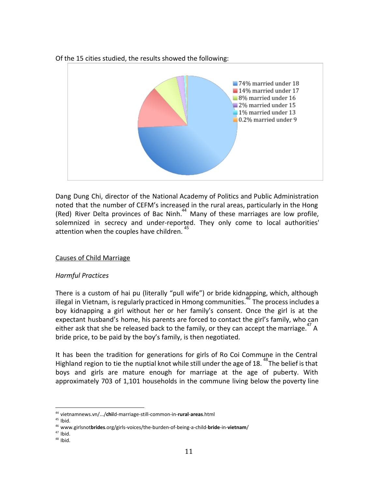Of the 15 cities studied, the results showed the following:



Dang Dung Chi, director of the National Academy of Politics and Public Administration noted that the number of CEFM's increased in the rural areas, particularly in the Hong (Red) River Delta provinces of Bac Ninh.<sup>44</sup> Many of these marriages are low profile, solemnized in secrecy and under-reported. They only come to local authorities' attention when the couples have children.

# Causes of Child Marriage

# *Harmful Practices*

There is a custom of hai pu (literally "pull wife") or bride kidnapping, which, although illegal in Vietnam, is regularly practiced in Hmong communities.<sup>46</sup> The process includes a boy kidnapping a girl without her or her family's consent. Once the girl is at the expectant husband's home, his parents are forced to contact the girl's family, who can either ask that she be released back to the family, or they can accept the marriage.  $47$  A bride price, to be paid by the boy's family, is then negotiated.

It has been the tradition for generations for girls of Ro Coi Commune in the Central Highland region to tie the nuptial knot while still under the age of 18. <sup>48</sup>The belief is that boys and girls are mature enough for marriage at the age of puberty. With approximately 703 of 1,101 households in the commune living below the poverty line

<sup>44</sup> vietnamnews.vn/.../**chi**ld-marriage-still-common-in-**rural**-**areas**.html

 $45$  Ibid.

<sup>46</sup> www.girlsnot**brides**.org/girls-voices/the-burden-of-being-a-child-**bride**-in-**vietnam**/

<sup>47</sup> Ibid.

<sup>48</sup> Ibid.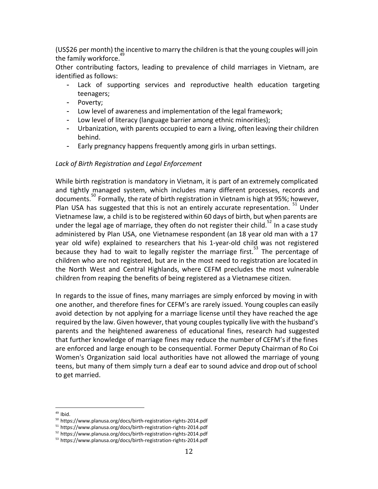(US\$26 per month) the incentive to marry the children is that the young couples will join the family workforce.<sup>4</sup>

Other contributing factors, leading to prevalence of child marriages in Vietnam, are identified as follows:

- Lack of supporting services and reproductive health education targeting teenagers;
- Poverty;
- Low level of awareness and implementation of the legal framework;
- Low level of literacy (language barrier among ethnic minorities);
- Urbanization, with parents occupied to earn a living, often leaving their children behind.
- Early pregnancy happens frequently among girls in urban settings.

# *Lack of Birth Registration and Legal Enforcement*

While birth registration is mandatory in Vietnam, it is part of an extremely complicated and tightly managed system, which includes many different processes, records and documents.<sup>50</sup> Formally, the rate of birth registration in Vietnam is high at 95%; however, Plan USA has suggested that this is not an entirely accurate representation.  $51$  Under Vietnamese law, a child isto be registered within 60 days of birth, but when parents are under the legal age of marriage, they often do not register their child.<sup>52</sup> In a case study administered by Plan USA, one Vietnamese respondent (an 18 year old man with a 17 year old wife) explained to researchers that his 1-year-old child was not registered because they had to wait to legally register the marriage first.<sup>53</sup> The percentage of children who are not registered, but are in the most need to registration are located in the North West and Central Highlands, where CEFM precludes the most vulnerable children from reaping the benefits of being registered as a Vietnamese citizen.

In regards to the issue of fines, many marriages are simply enforced by moving in with one another, and therefore fines for CEFM's are rarely issued. Young couples can easily avoid detection by not applying for a marriage license until they have reached the age required by the law. Given however, that young couplestypically live with the husband's parents and the heightened awareness of educational fines, research had suggested that further knowledge of marriage fines may reduce the number of CEFM'sif the fines are enforced and large enough to be consequential. Former Deputy Chairman of Ro Coi Women's Organization said local authorities have not allowed the marriage of young teens, but many of them simply turn a deaf ear to sound advice and drop out ofschool to get married.

 $49$  Ibid.

<sup>50</sup> https://www.planusa.org/docs/birth-registration-rights-2014.pdf

<sup>51</sup> https://www.planusa.org/docs/birth-registration-rights-2014.pdf

<sup>52</sup> https://www.planusa.org/docs/birth-registration-rights-2014.pdf

<sup>53</sup> https://www.planusa.org/docs/birth-registration-rights-2014.pdf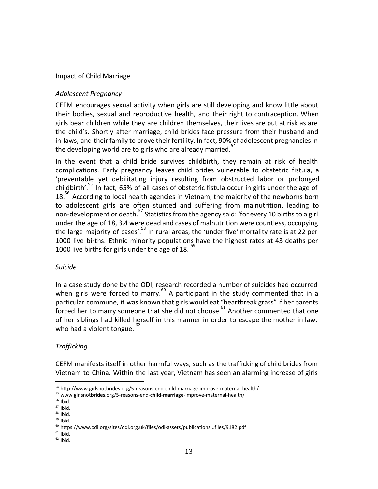#### Impact of Child Marriage

# *Adolescent Pregnancy*

CEFM encourages sexual activity when girls are still developing and know little about their bodies, sexual and reproductive health, and their right to contraception. When girls bear children while they are children themselves, their lives are put at risk as are the child's. Shortly after marriage, child brides face pressure from their husband and in-laws, and their family to prove their fertility. In fact, 90% of adolescent pregnanciesin the developing world are to girls who are already married.<sup>54</sup>

In the event that a child bride survives childbirth, they remain at risk of health complications. Early pregnancy leaves child brides vulnerable to obstetric fistula, a 'preventable yet debilitating injury resulting from obstructed labor or prolonged childbirth'.<sup>55</sup> In fact, 65% of all cases of obstetric fistula occur in girls under the age of  $18.^{\circ}$  According to local health agencies in Vietnam, the majority of the newborns born to adolescent girls are often stunted and suffering from malnutrition, leading to non-development or death.<sup>37</sup> Statistics from the agency said: 'for every 10 births to a girl under the age of 18, 3.4 were dead and cases of malnutrition were countless, occupying the large majority of cases'.<sup>58</sup> In rural areas, the 'under five' mortality rate is at 22 per 1000 live births. Ethnic minority populations have the highest rates at 43 deaths per 1000 live births for girls under the age of 18.  $\degree$ 

# *Suicide*

In a case study done by the ODI, research recorded a number of suicides had occurred when girls were forced to marry.<sup>60</sup> A participant in the study commented that in a particular commune, it was known that girls would eat "heartbreak grass" if her parents forced her to marry someone that she did not choose. $61$  Another commented that one of her siblings had killed herself in this manner in order to escape the mother in law, who had a violent tongue.  $82$ 

# *Trafficking*

CEFM manifests itself in other harmful ways, such as the trafficking of child bridesfrom Vietnam to China. Within the last year, Vietnam has seen an alarming increase of girls

<sup>54</sup> http://www.girlsnotbrides.org/5-reasons-end-child-marriage-improve-maternal-health/

<sup>55</sup> www.girlsnot**brides**.org/5-reasons-end-**child**-**marriage**-improve-maternal-health/

 $56$  Ibid.

 $57$  Ibid.

 $58$  Ibid.  $59$  Ibid.

<sup>60</sup> https://www.odi.org/sites/odi.org.uk/files/odi-assets/publications...files/9182.pdf

 $61$  Ibid.

 $62$  Ibid.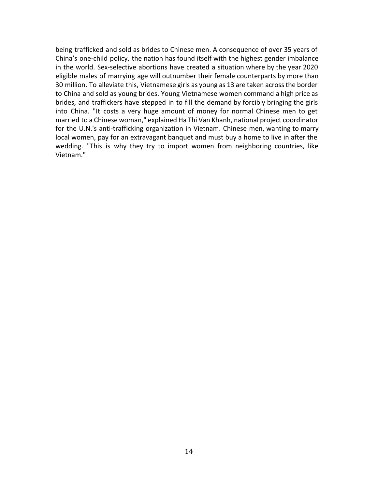being trafficked and sold as brides to Chinese men. A consequence of over 35 years of China's one-child policy, the nation has found itself with the highest gender imbalance in the world. Sex-selective abortions have created a situation where by the year 2020 eligible males of marrying age will [outnumber](http://europe.newsweek.com/gender-imbalance-china-one-child-law-backfired-men-327877?rm=eu) their female counterparts by more than 30 million. To alleviate this, Vietnamese girls as young as 13 are taken acrossthe border to China and sold as young brides. Young Vietnamese women command a high price as brides, and traffickers have stepped in to fill the demand by forcibly bringing the girls into China. "It costs a very huge amount of money for normal Chinese men to get married to a Chinese woman," explained Ha Thi Van Khanh, national project coordinator for the U.N.'s anti-trafficking organization in Vietnam. Chinese men, wanting to marry local women, pay for an extravagant banquet and must buy a home to live in after the wedding. "This is why they try to import women from neighboring countries, like Vietnam."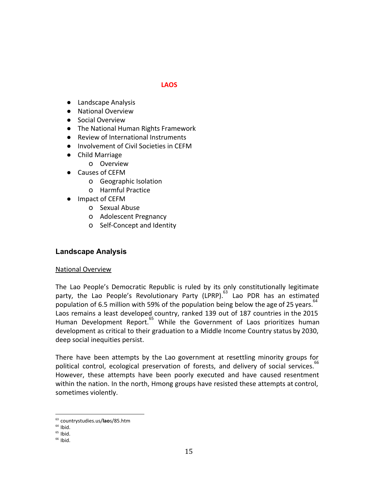### **LAOS**

- Landscape Analysis
- National Overview
- Social Overview
- The National Human Rights Framework
- Review of International Instruments
- Involvement of Civil Societies in CEFM
- Child Marriage
	- o Overview
- Causes of CEFM
	- o Geographic Isolation
	- o Harmful Practice
- Impact of CEFM
	- o Sexual Abuse
	- o Adolescent Pregnancy
	- o Self-Concept and Identity

# **Landscape Analysis**

#### National Overview

The Lao People's Democratic Republic is ruled by its only constitutionally legitimate party, the Lao People's Revolutionary Party (LPRP).<sup>63</sup> Lao PDR has an estimated .<br>population of 6.5 million with 59% of the population being below the age of 25 years.<sup>64</sup> Laos remains a least developed country, ranked 139 out of 187 countries in the 2015 Human Development Report.<sup>65</sup> While the Government of Laos prioritizes human development as critical to their graduation to a Middle Income Country status by 2030, deep social inequities persist.

There have been attempts by the Lao government at resettling minority groups for political control, ecological preservation of forests, and delivery of social services. However, these attempts have been poorly executed and have caused resentment within the nation. In the north, Hmong groups have resisted these attempts at control, sometimes violently.

<sup>63</sup> countrystudies.us/**lao**s/85.htm

 $64$  Ibid.

 $65$  Ibid.

 $66$  Ibid.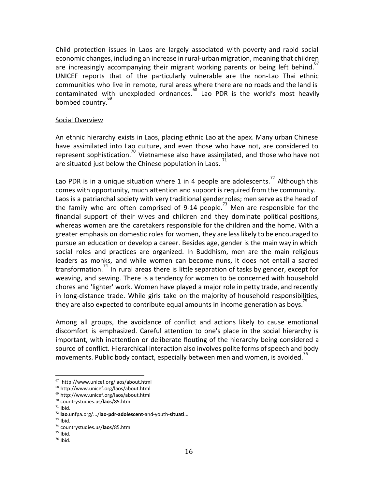Child protection issues in Laos are largely associated with poverty and rapid social economic changes, including an increase in rural-urban migration, meaning that children are increasingly accompanying their migrant working parents or being left behind.<sup>67</sup> UNICEF reports that of the particularly vulnerable are the non-Lao Thai ethnic communities who live in remote, rural areas where there are no roads and the land is contaminated with unexploded ordnances. $^{68}$  Lao PDR is the world's most heavily bombed country.<sup>69</sup>

#### Social Overview

An ethnic hierarchy exists in Laos, placing ethnic Lao at the apex. Many urban Chinese have assimilated into Lao culture, and even those who have not, are considered to represent sophistication.<sup>70</sup> Vietnamese also have assimilated, and those who have not are situated just below the Chinese population in Laos.  $\sqrt{2}$ 

Lao PDR is in a unique situation where 1 in 4 people are adolescents.<sup>72</sup> Although this comes with opportunity, much attention and support is required from the community. Laos is a patriarchal society with very traditional gender roles; men serve as the head of the family who are often comprised of 9-14 people.<sup>73</sup> Men are responsible for the financial support of their wives and children and they dominate political positions, whereas women are the caretakers responsible for the children and the home. With a greater emphasis on domestic roles for women, they are lesslikely to be encouraged to pursue an education or develop a career. Besides age, gender is the main way in which social roles and practices are organized. In Buddhism, men are the main religious leaders as monks, and while women can become nuns, it does not entail a sacred transformation.<sup> $4$ </sup> In rural areas there is little separation of tasks by gender, except for weaving, and sewing. There is a tendency for women to be concerned with household chores and 'lighter' work. Women have played a major role in petty trade, and recently in long-distance trade. While girls take on the majority of household responsibilities, they are also expected to contribute equal amounts in income generation as boys.<sup> $\frac{7}{5}$ </sup>

Among all groups, the avoidance of conflict and actions likely to cause emotional discomfort is emphasized. Careful attention to one's place in the social hierarchy is important, with inattention or deliberate flouting of the hierarchy being considered a source of conflict. Hierarchical interaction also involves polite forms of speech and body movements. Public body contact, especially between men and women, is avoided.<sup>16</sup>

<sup>67</sup> http://www.unicef.org/laos/about.html

<sup>68</sup> http://www.unicef.org/laos/about.html

<sup>69</sup> http://www.unicef.org/laos/about.html

<sup>70</sup> countrystudies.us/**lao**s/85.htm

 $71$  Ibid.

<sup>72</sup> **lao**.unfpa.org/.../**lao**-**pdr**-**adolescent**-and-youth-**situati**...

 $73$  Ibid.

<sup>74</sup> countrystudies.us/**lao**s/85.htm

 $75$  Ibid.

<sup>76</sup> Ibid.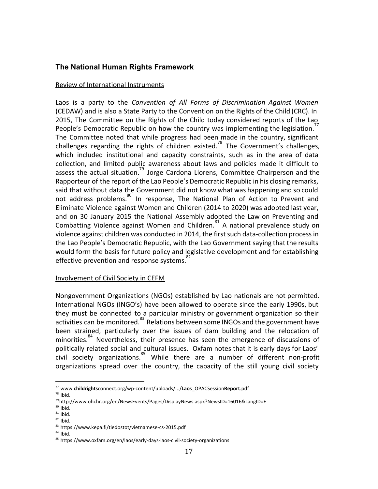# **The National Human Rights Framework**

#### Review of International Instruments

Laos is a party to the *Convention of All Forms of Discrimination Against Women* (CEDAW) and is also a State Party to the Convention on the Rights of the Child (CRC). In 2015, The Committee on the Rights of the Child today considered reports of the Lao People's Democratic Republic on how the country was implementing the legislation. $\dot{\ }$ The Committee noted that while progress had been made in the country, significant challenges regarding the rights of children existed.<sup>78</sup> The Government's challenges, which included institutional and capacity constraints, such as in the area of data collection, and limited public awareness about laws and policies made it difficult to assess the actual situation.<sup>79</sup> Jorge Cardona Llorens, Committee Chairperson and the Rapporteur of the report of the Lao People's Democratic Republic in his closing remarks, said that without data the Government did not know what was happening and so could not address problems.<sup>80</sup> In response, The National Plan of Action to Prevent and Eliminate Violence against Women and Children (2014 to 2020) was adopted last year, and on 30 January 2015 the National Assembly adopted the Law on Preventing and Combatting Violence against Women and Children. $^{81}$  A national prevalence study on violence against children was conducted in 2014, the first such data-collection process in the Lao People's Democratic Republic, with the Lao Government saying that the results would form the basis for future policy and legislative development and for establishing effective prevention and response systems.<sup>8</sup>

#### Involvement of Civil Society in CEFM

Nongovernment Organizations (NGOs) established by Lao nationals are not permitted. International NGOs (INGO's) have been allowed to operate since the early 1990s, but they must be connected to a particular ministry or government organization so their activities can be monitored.<sup>83</sup> Relations between some INGOs and the government have been strained, particularly over the issues of dam building and the relocation of minorities.<sup>84</sup> Nevertheless, their presence has seen the emergence of discussions of politically related social and cultural issues. Oxfam notes that it is early days for Laos' civil society organizations.<sup>85</sup> While there are a number of different non-profit organizations spread over the country, the capacity of the still young civil society

<sup>77</sup> www.**childrights**connect.org/wp-content/uploads/.../**Lao**s\_OPACSession**Report**.pdf

 $78$  Ibid.

<sup>79</sup>http://www.ohchr.org/en/NewsEvents/Pages/DisplayNews.aspx?NewsID=16016&LangID=E

 $80$  Ibid.

 $81$  Ibid.  $82$  Ibid.

<sup>83</sup> https://www.kepa.fi/tiedostot/vietnamese-cs-2015.pdf

 $84$  Ibid.

<sup>85</sup> https://www.oxfam.org/en/laos/early-days-laos-civil-society-organizations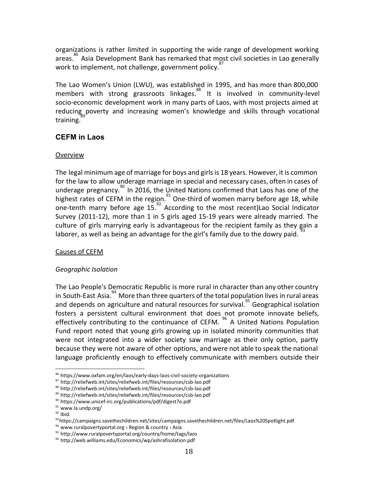organizations is rather limited in supporting the wide range of development working areas.<sup>86</sup> Asia Development Bank has remarked that most civil societies in Lao generally work to implement, not challenge, government policy.<sup>87</sup>

The Lao Women's Union (LWU), was established in 1995, and has more than 800,000 members with strong grassroots linkages.<sup>88</sup> It is involved in community-level socio-economic development work in many parts of Laos, with most projects aimed at reducing poverty and increasing women's knowledge and skills through vocational training.

# **CEFM in Laos**

# Overview

The legal minimum age of marriage for boys and girls is 18 years. However, it is common for the law to allow underage marriage in special and necessary cases, often in cases of underage pregnancy.<sup>90</sup> In 2016, the United Nations confirmed that Laos has one of the highest rates of CEFM in the region.<sup>91</sup> One-third of women marry before age 18, while one-tenth marry before age  $15.<sup>92</sup>$  According to the most recent)Lao Social Indicator Survey (2011-12), more than 1 in 5 girls aged 15-19 years were already married. The culture of girls marrying early is advantageous for the recipient family as they gain a laborer, as well as being an advantage for the girl's family due to the dowry paid.

# Causes of CEFM

# *Geographic Isolation*

The Lao People's Democratic Republic is more rural in character than any other country in South-East Asia.<sup>94</sup> More than three quarters of the total population lives in rural areas and depends on agriculture and natural resources for survival.<sup>95</sup> Geographical isolation fosters a persistent cultural environment that does not promote innovate beliefs, effectively contributing to the continuance of CEFM.  $96$  A United Nations Population Fund report noted that young girls growing up in isolated minority communities that were not integrated into a wider society saw marriage as their only option, partly because they were not aware of other options, and were not able to speak the national language proficiently enough to effectively communicate with members outside their

<sup>86</sup> https://www.oxfam.org/en/laos/early-days-laos-civil-society-organizations

<sup>87</sup> http://reliefweb.int/sites/reliefweb.int/files/resources/csb-lao.pdf

<sup>88</sup> http://reliefweb.int/sites/reliefweb.int/files/resources/csb-lao.pdf

<sup>89</sup> http://reliefweb.int/sites/reliefweb.int/files/resources/csb-lao.pdf

<sup>90</sup> https://www.unicef-irc.org/publications/pdf/digest7e.pdf

 $91$  www.la.undp.org/

 $92$  Ibid.

<sup>93</sup>https://campaigns.savethechildren.net/sites/campaigns.savethechildren.net/files/Laos%20Spotlight.pdf

 $94$  www.ruralpovertyportal.org > Region & country > Asia

<sup>95</sup> http://www.ruralpovertyportal.org/country/home/tags/laos

<sup>96</sup> http://web.williams.edu/Economics/wp/ashrafisolation.pdf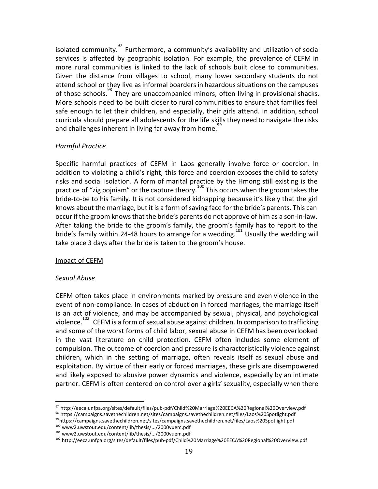isolated community. $^{97}$  Furthermore, a community's availability and utilization of social services is affected by geographic isolation. For example, the prevalence of CEFM in more rural communities is linked to the lack of schools built close to communities. Given the distance from villages to school, many lower secondary students do not attend school or they live as informal boarders in hazardous situations on the campuses of those schools.<sup>38</sup> They are unaccompanied minors, often living in provisional shacks. More schools need to be built closer to rural communities to ensure that families feel safe enough to let their children, and especially, their girls attend. In addition, school curricula should prepare all adolescents for the life skills they need to navigate the risks and challenges inherent in living far away from home.<sup>99</sup>

#### *Harmful Practice*

Specific harmful practices of CEFM in Laos generally involve force or coercion. In addition to violating a child's right, this force and coercion exposes the child to safety risks and social isolation. A form of marital practice by the Hmong still existing is the practice of "zig pojniam" or the capture theory.<sup>100</sup> This occurs when the groom takes the bride-to-be to his family. It is not considered kidnapping because it's likely that the girl knows about the marriage, but it is a form of saving face for the bride's parents. This can occur if the groom knowsthat the bride's parents do not approve of him as a son-in-law. After taking the bride to the groom's family, the groom's family has to report to the bride's family within 24-48 hours to arrange for a wedding.<sup>101</sup> Usually the wedding will take place 3 days after the bride is taken to the groom's house.

#### Impact of CEFM

#### *Sexual Abuse*

CEFM often takes place in environments marked by pressure and even violence in the event of non-compliance. In cases of abduction in forced marriages, the marriage itself is an act of violence, and may be accompanied by sexual, physical, and psychological violence.<sup>102</sup> CEFM is a form of sexual abuse against children. In comparison to trafficking and some of the worst forms of child labor, sexual abuse in CEFM has been overlooked in the vast literature on child protection. CEFM often includes some element of compulsion. The outcome of coercion and pressure is characteristically violence against children, which in the setting of marriage, often reveals itself as sexual abuse and exploitation. By virtue of their early or forced marriages, these girls are disempowered and likely exposed to abusive power dynamics and violence, especially by an intimate partner. CEFM is often centered on control over a girls' sexuality, especially when there

<sup>97</sup> http://eeca.unfpa.org/sites/default/files/pub-pdf/Child%20Marriage%20EECA%20Regional%20Overview.pdf

<sup>98</sup> https://campaigns.savethechildren.net/sites/campaigns.savethechildren.net/files/Laos%20Spotlight.pdf

<sup>99</sup>https://campaigns.savethechildren.net/sites/campaigns.savethechildren.net/files/Laos%20Spotlight.pdf

<sup>100</sup> www2.uwstout.edu/content/lib/thesis/.../2000vuem.pdf

<sup>101</sup> www2.uwstout.edu/content/lib/thesis/.../2000vuem.pdf

<sup>102</sup> http://eeca.unfpa.org/sites/default/files/pub-pdf/Child%20Marriage%20EECA%20Regional%20Overview.pdf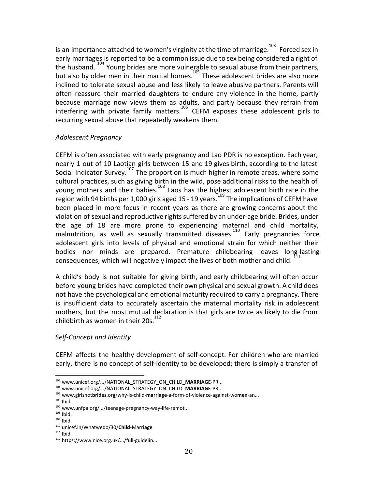is an importance attached to women's virginity at the time of marriage.  $^{103}$  Forced sex in early marriages is reported to be a common issue due to sex being considered a right of the husband.  $104$  Young brides are more vulnerable to sexual abuse from their partners, but also by older men in their marital homes. $^{105}$  These adolescent brides are also more inclined to tolerate sexual abuse and less likely to leave abusive partners. Parents will often reassure their married daughters to endure any violence in the home, partly because marriage now views them as adults, and partly because they refrain from interfering with private family matters.<sup>106</sup> CEFM exposes these adolescent girls to recurring sexual abuse that repeatedly weakens them.

# *Adolescent Pregnancy*

CEFM is often associated with early pregnancy and Lao PDR is no exception. Each year, nearly 1 out of 10 Laotian girls between 15 and 19 gives birth, according to the latest Social Indicator Survey.<sup>107</sup> The proportion is much higher in remote areas, where some cultural practices, such as giving birth in the wild, pose additional risks to the health of young mothers and their babies.<sup>108</sup> Laos has the highest adolescent birth rate in the region with 94 births per 1,000 girls aged 15 - 19 years.<sup>109</sup> The implications of CEFM have been placed in more focus in recent years as there are growing concerns about the violation of sexual and reproductive rights suffered by an under-age bride. Brides, under the age of 18 are more prone to experiencing maternal and child mortality, malnutrition, as well as sexually transmitted diseases.<sup>110</sup> Early pregnancies force adolescent girls into levels of physical and emotional strain for which neither their bodies nor minds are prepared. Premature childbearing leaves long-lasting consequences, which will negatively impact the lives of both mother and child.

A child's body is not suitable for giving birth, and early childbearing will often occur before young brides have completed their own physical and sexual growth. A child does not have the psychological and emotional maturity required to carry a pregnancy. There is insufficient data to accurately ascertain the maternal mortality risk in adolescent mothers, but the most mutual declaration is that girls are twice as likely to die from childbirth as women in their  $20s<sup>1</sup>$ 

# *Self-Concept and Identity*

CEFM affects the healthy development of self-concept. For children who are married early, there is no concept of self-identity to be developed; there is simply a transfer of

<sup>103</sup> www.unicef.org/.../NATIONAL\_STRATEGY\_ON\_CHILD\_**MARRIAGE**-PR...

<sup>104</sup> www.unicef.org/.../NATIONAL\_STRATEGY\_ON\_CHILD\_**MARRIAGE**-PR...

<sup>105</sup> www.girlsnot**brides**.org/why-is-child-**marriage**-a-form-of-violence-against-wo**men**-an...

 $106$  Ibid.

<sup>107</sup> www.unfpa.org/.../teenage-pregnancy-way-life-remot...

 $108$  Ibid.

 $109$  Ibid.

<sup>110</sup> unicef.in/Whatwedo/30/**Child**-Marri**age**

 $111$  Ibid.

<sup>112</sup> https://www.nice.org.uk/.../full-guidelin...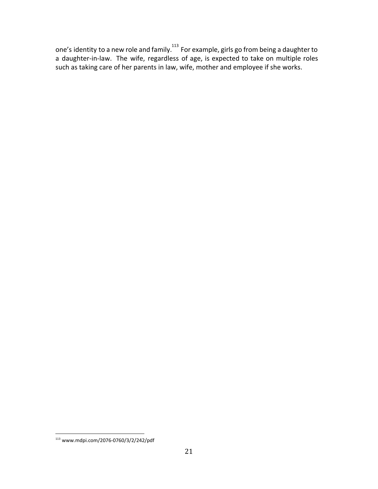one's identity to a new role and family. $^{113}$  For example, girls go from being a daughter to a daughter-in-law. The wife, regardless of age, is expected to take on multiple roles such as taking care of her parents in law, wife, mother and employee if she works.

<sup>113</sup> www.mdpi.com/2076-0760/3/2/242/pdf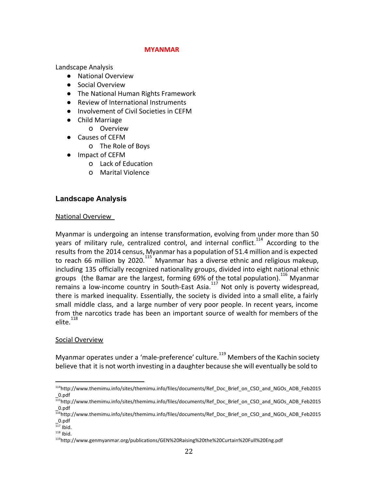### **MYANMAR**

Landscape Analysis

- National Overview
- Social Overview
- The National Human Rights Framework
- Review of International Instruments
- Involvement of Civil Societies in CEFM
- Child Marriage
	- o Overview
- Causes of CEFM
	- o The Role of Boys
- Impact of CEFM
	- o Lack of Education
	- o Marital Violence

# **Landscape Analysis**

#### National Overview

Myanmar is undergoing an intense transformation, evolving from under more than 50 years of military rule, centralized control, and internal conflict.<sup>114</sup> According to the results from the 2014 census, Myanmar has a population of 51.4 million and is expected to reach 66 million by 2020.<sup>115</sup> Myanmar has a diverse ethnic and religious makeup, including 135 officially recognized nationality groups, divided into eight national ethnic groups (the Bamar are the largest, forming  $69%$  of the total population).<sup>116</sup> Myanmar  $\overline{a}$  remains a low-income country in South-East Asia.<sup>117</sup> Not only is poverty widespread, there is marked inequality. Essentially, the society is divided into a small elite, a fairly small middle class, and a large number of very poor people. In recent years, income from the narcotics trade has been an important source of wealth for members of the  $e^{118}$ 

# Social Overview

Myanmar operates under a 'male-preference' culture.<sup>119</sup> Members of the Kachin society believe that it is not worth investing in a daughter because she will eventually be sold to

 $117$  Ibid.

<sup>114</sup>http://www.themimu.info/sites/themimu.info/files/documents/Ref\_Doc\_Brief\_on\_CSO\_and\_NGOs\_ADB\_Feb2015 \_0.pdf

<sup>115</sup>http://www.themimu.info/sites/themimu.info/files/documents/Ref\_Doc\_Brief\_on\_CSO\_and\_NGOs\_ADB\_Feb2015 \_0.pdf

<sup>116</sup>http://www.themimu.info/sites/themimu.info/files/documents/Ref\_Doc\_Brief\_on\_CSO\_and\_NGOs\_ADB\_Feb2015 \_0.pdf

 $118$  Ibid.

<sup>119</sup>http://www.genmyanmar.org/publications/GEN%20Raising%20the%20Curtain%20Full%20Eng.pdf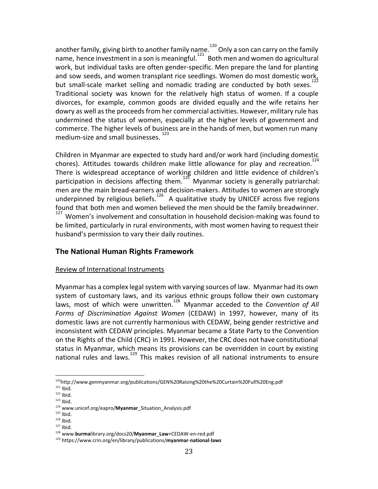another family, giving birth to another family na ${\rm me.}^{^{120}}$  Only a son can carry on the family name, hence investment in a son is meaningful.  $121$  Both men and women do agricultural work, but individual tasks are often gender-specific. Men prepare the land for planting and sow seeds, and women transplant rice seedlings. Women do most domestic work,<br>https://www.harden.com/states/line-seed/seedline-seedline-seedline-seedline-seedline-seedline-seedline-seedlin but small-scale market selling and nomadic trading are conducted by both sexes.<sup>1</sup> Traditional society was known for the relatively high status of women. If a couple divorces, for example, common goods are divided equally and the wife retains her dowry as well as the proceeds from her commercial activities. However, military rule has undermined the status of women, especially at the higher levels of government and commerce. The higher levels of business are in the hands of men, but women run many medium-size and small businesses.

Children in Myanmar are expected to study hard and/or work hard (including domestic chores). Attitudes towards children make little allowance for play and recreation.<sup>14</sup> There is widespread acceptance of working children and little evidence of children's participation in decisions affecting them.  $125$  Myanmar society is generally patriarchal: men are the main bread-earners and decision-makers. Attitudes to women are strongly underpinned by religious beliefs.<sup>126</sup> A qualitative study by UNICEF across five regions found that both men and women believed the men should be the family breadwinner.

 $127$  Women's involvement and consultation in household decision-making was found to be limited, particularly in rural environments, with most women having to request their husband's permission to vary their daily routines.

# **The National Human Rights Framework**

#### Review of International Instruments

Myanmar has a complex legal system with varying sources of law. Myanmar had its own system of customary laws, and its various ethnic groups follow their own customary laws, most of which were unwritten.<sup>128</sup> Myanmar acceded to the *Convention* of All *Forms of Discrimination Against Women* (CEDAW) in 1997, however, many of its domestic laws are not currently harmonious with CEDAW, being gender restrictive and inconsistent with CEDAW principles. Myanmar became a State Party to the Convention on the Rights of the Child (CRC) in 1991. However, the CRC does not have constitutional status in Myanmar, which means its provisions can be overridden in court by existing national rules and laws.  $129$  This makes revision of all national instruments to ensure

<sup>120</sup>http://www.genmyanmar.org/publications/GEN%20Raising%20the%20Curtain%20Full%20Eng.pdf

 $121$  Ibid.

 $122$  Ibid.

 $123$  Ibid.

<sup>124</sup> www.unicef.org/eapro/**Myanmar**\_Situation\_Analysis.pdf

 $125$  Ibid.

 $126$  Ibid.

 $127$  Ibid.

<sup>128</sup> www.**burma**library.org/docs20/**Myanmar**\_**Law**+CEDAW-en-red.pdf

<sup>129</sup> https://www.crin.org/en/library/publications/**myanmar**-**national**-**laws**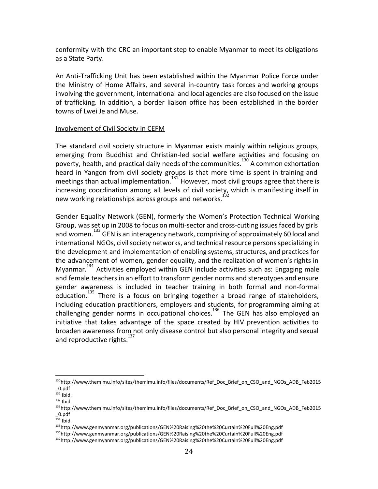conformity with the CRC an important step to enable Myanmar to meet its obligations as a State Party.

An Anti-Trafficking Unit has been established within the Myanmar Police Force under the Ministry of Home Affairs, and several in-country task forces and working groups involving the government, international and local agencies are also focused on the issue of trafficking. In addition, a border liaison office has been established in the border towns of Lwei Je and Muse.

#### Involvement of Civil Society in CEFM

The standard civil society structure in Myanmar exists mainly within religious groups, emerging from Buddhist and Christian-led social welfare activities and focusing on poverty, health, and practical daily needs of the communities.<sup>130</sup> A common exhortation heard in Yangon from civil society groups is that more time is spent in training and meetings than actual implementation.  $\frac{131}{331}$  However, most civil groups agree that there is increasing coordination among all levels of civil society, which is manifesting itself in new working relationships across groups and networks.<sup>1</sup>

Gender Equality Network (GEN), formerly the Women's Protection Technical Working Group, was set up in 2008 to focus on multi-sector and cross-cutting issues faced by girls and women.<sup>133</sup> GEN is an interagency network, comprising of approximately 60 local and international NGOs, civil society networks, and technical resource persons specializing in the development and implementation of enabling systems, structures, and practices for the advancement of women, gender equality, and the realization of women's rights in Myanmar. $134$  Activities employed within GEN include activities such as: Engaging male and female teachers in an effort to transform gender norms and stereotypes and ensure gender awareness is included in teacher training in both formal and non-formal education.<sup>135</sup> There is a focus on bringing together a broad range of stakeholders, including education practitioners, employers and students, for programming aiming at challenging gender norms in occupational choices.<sup>136</sup> The GEN has also employed an initiative that takes advantage of the space created by HIV prevention activities to broaden awareness from not only disease control but also personal integrity and sexual and reproductive rights.<sup>137</sup>

<sup>&</sup>lt;sup>130</sup>http://www.themimu.info/sites/themimu.info/files/documents/Ref\_Doc\_Brief\_on\_CSO\_and\_NGOs\_ADB\_Feb2015 \_0.pdf

 $131$  Ibid.

 $132$  Ibid.

<sup>&</sup>lt;sup>133</sup>http://www.themimu.info/sites/themimu.info/files/documents/Ref\_Doc\_Brief\_on\_CSO\_and\_NGOs\_ADB\_Feb2015 \_0.pdf

 $134$  Ibid.

<sup>135</sup>http://www.genmyanmar.org/publications/GEN%20Raising%20the%20Curtain%20Full%20Eng.pdf

<sup>136</sup>http://www.genmyanmar.org/publications/GEN%20Raising%20the%20Curtain%20Full%20Eng.pdf

<sup>137</sup>http://www.genmyanmar.org/publications/GEN%20Raising%20the%20Curtain%20Full%20Eng.pdf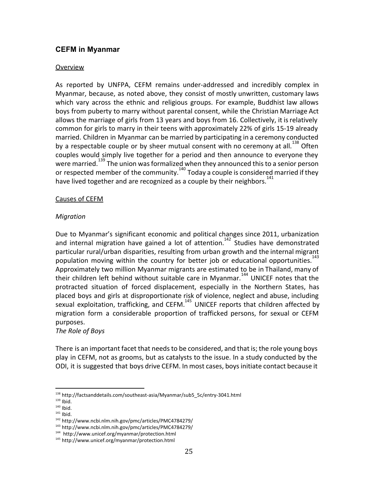# **CEFM in Myanmar**

# Overview

As reported by UNFPA, CEFM remains under-addressed and incredibly complex in Myanmar, because, as noted above, they consist of mostly unwritten, customary laws which vary across the ethnic and religious groups. For example, Buddhist law allows boys from puberty to marry without parental consent, while the Christian Marriage Act allows the marriage of girls from 13 years and boys from 16. Collectively, it isrelatively common for girls to marry in their teens with approximately 22% of girls 15-19 already married. Children in Myanmar can be married by participating in a ceremony conducted by a respectable couple or by sheer mutual consent with no ceremony at all.<sup>138</sup> Often couples would simply live together for a period and then announce to everyone they were married.<sup>139</sup> The union was formalized when they announced this to a senior person or respected member of the community.<sup>140</sup> Today a couple is considered married if they have lived together and are recognized as a couple by their neighbors.<sup>1</sup>

#### Causes of CEFM

# *Migration*

Due to Myanmar's significant economic and political changes since 2011, urbanization and internal migration have gained a lot of attention.<sup>142</sup> Studies have demonstrated particular rural/urban disparities, resulting from urban growth and the internal migrant population moving within the country for better job or educational opportunities.<sup>1</sup> Approximately two million Myanmar migrants are estimated to be in Thailand, many of their children left behind without suitable care in Myanmar.<sup>144</sup> UNICEF notes that the protracted situation of forced displacement, especially in the Northern States, has placed boys and girls at disproportionate risk of violence, neglect and abuse, including sexual exploitation, trafficking, and CEFM. $145$  UNICEF reports that children affected by migration form a considerable proportion of trafficked persons, for sexual or CEFM purposes.

# *The Role of Boys*

There is an important facet that needs to be considered, and that is; the role young boys play in CEFM, not as grooms, but as catalysts to the issue. In a study conducted by the ODI, it is suggested that boys drive CEFM. In most cases, boysinitiate contact because it

<sup>138</sup> http://factsanddetails.com/southeast-asia/Myanmar/sub5\_5c/entry-3041.html

 $139$  Ibid.

 $140$  Ibid.

 $141$  Ibid.

<sup>142</sup> http://www.ncbi.nlm.nih.gov/pmc/articles/PMC4784279/

<sup>143</sup> http://www.ncbi.nlm.nih.gov/pmc/articles/PMC4784279/

<sup>144</sup> http://www.unicef.org/myanmar/protection.html

<sup>145</sup> http://www.unicef.org/myanmar/protection.html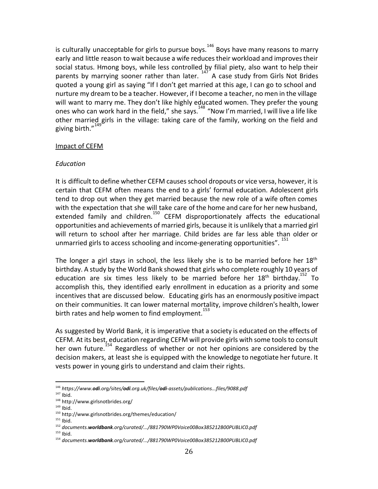is culturally unacceptable for girls to pursue boys.<sup>146</sup> Boys have many reasons to marry early and little reason to wait because a wife reduces their workload and improves their social status. Hmong boys, while less controlled by filial piety, also want to help their parents by marrying sooner rather than later.  $147^{147}$  A case study from Girls Not Brides quoted a young girl as saying "If I don't get married at this age, I can go to school and nurture my dream to be a teacher. However, if I become a teacher, no men in the village will want to marry me. They don't like highly educated women. They prefer the young ones who can work hard in the field," she says.<sup>148</sup> "Now I'm married, I will live a life like other married girls in the village: taking care of the family, working on the field and giving birth."<sup>149</sup>

#### Impact of CEFM

#### *Education*

It is difficult to define whether CEFM causesschool dropouts or vice versa, however, it is certain that CEFM often means the end to a girls' formal education. Adolescent girls tend to drop out when they get married because the new role of a wife often comes with the expectation that she will take care of the home and care for her new husband, extended family and children.<sup>150</sup> CEFM disproportionately affects the educational opportunities and achievements of married girls, because it is unlikely that a married girl will return to school after her marriage. Child brides are far less able than older or unmarried girls to access schooling and income-generating opportunities". <sup>151</sup>

The longer a girl stays in school, the less likely she is to be married before her  $18<sup>th</sup>$ birthday. A [study](https://openknowledge.worldbank.org/handle/10986/19036) by the World Bank showed that girls who complete roughly 10 years of education are six times less likely to be married before her  $18<sup>th</sup>$  birthday.<sup>152</sup> To accomplish this, they identified early enrollment in education as a priority and some incentives that are discussed below. Educating girls has an enormously positive impact on their communities. It can lower maternal mortality, improve children's health, lower birth rates and help women to find employment.<sup>153</sup>

As suggested by World Bank, it is imperative that a society is educated on the effects of CEFM. At its best, education regarding CEFM will provide girls with some toolsto consult her own future.<sup>154</sup> Regardless of whether or not her opinions are considered by the decision makers, at least she is equipped with the knowledge to negotiate her future. It vests power in young girls to understand and claim their rights.

<sup>&</sup>lt;sup>146</sup> https://www.odi.org/sites/odi.org.uk/files/odi-assets/publications...files/9088.pdf *https://www.odi.org/sites/odi.org.uk/files/odi-assets/publications...files/9088.pdf*

 $147$  Ibid.

<sup>148</sup> http://www.girlsnotbrides.org/

 $149$  Ibid.

<sup>150</sup> http://www.girlsnotbrides.org/themes/education/

 $151$  Ibid.

<sup>152</sup> documents.worldbank.org/curated/.../881790WP0Voice00Box385212B00PUBLIC0.pdf *documents.worldbank.org/curated/.../881790WP0Voice00Box385212B00PUBLIC0.pdf*

 $153$  Ibid.

<sup>&</sup>lt;sup>154</sup> documents.worldbank.org/curated/.../881790WP0Voice00Box385212B00PUBLIC0.pdf *documents.worldbank.org/curated/.../881790WP0Voice00Box385212B00PUBLIC0.pdf*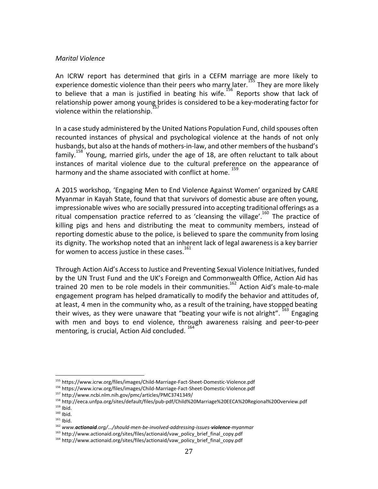#### *Marital Violence*

An ICRW report has determined that girls in a CEFM marriage are more likely to experience domestic violence than their peers who marry later.<sup>155</sup> They are more likely to believe that a man is justified in beating his wife.<sup>156</sup> Reports show that lack of relationship power among young brides is considered to be a key-moderating factor for violence within the relationship.<sup>1</sup>

In a case study administered by the United Nations Population Fund, child spouses often recounted instances of physical and psychological violence at the hands of not only husbands, but also at the hands of mothers-in-law, and other members of the husband's  $family.<sup>158</sup>$  Young, married girls, under the age of 18, are often reluctant to talk about instances of marital violence due to the cultural preference on the appearance of harmony and the shame associated with conflict at home. <sup>15</sup>

A 2015 workshop, 'Engaging Men to End Violence Against Women' organized by CARE Myanmar in Kayah State, found that that survivors of domestic abuse are often young, impressionable wives who are socially pressured into accepting traditional offerings as a ritual compensation practice referred to as 'cleansing the village'.<sup>160</sup> The practice of killing pigs and hens and distributing the meat to community members, instead of reporting domestic abuse to the police, is believed to spare the community from losing its dignity. The workshop noted that an inherent lack of legal awarenessis a key barrier for women to access justice in these cases. $161$ 

Through Action Aid's Accessto Justice and Preventing Sexual Violence Initiatives, funded by the UN Trust Fund and the UK's Foreign and Commonwealth Office, Action Aid has trained 20 men to be role models in their communities.<sup>162</sup> Action Aid's male-to-male engagement program has helped dramatically to modify the behavior and attitudes of, at least, 4 men in the community who, as a result of the training, have stopped beating their wives, as they were unaware that "beating your wife is not alright".  $163$  Engaging with men and boys to end violence, through awareness raising and peer-to-peer mentoring, is crucial, Action Aid concluded.

<sup>155</sup> https://www.icrw.org/files/images/Child-Marriage-Fact-Sheet-Domestic-Violence.pdf

<sup>156</sup> https://www.icrw.org/files/images/Child-Marriage-Fact-Sheet-Domestic-Violence.pdf

<sup>157</sup> http://www.ncbi.nlm.nih.gov/pmc/articles/PMC3741349/

<sup>158</sup> http://eeca.unfpa.org/sites/default/files/pub-pdf/Child%20Marriage%20EECA%20Regional%20Overview.pdf

<sup>159</sup> Ibid.

 $160$  Ibid.  $161$  Ibid.

<sup>&</sup>lt;sup>162</sup> www.actionaid.org/.../should-men-be-involved-addressing-issues-violence-myanmar *www.actionaid.org/.../should-men-be-involved-addressing-issues-violence-myanmar*

<sup>&</sup>lt;sup>163</sup> http://www.actionaid.org/sites/files/actionaid/vaw\_policy\_brief\_final\_copy.pdf

<sup>&</sup>lt;sup>164</sup> http://www.actionaid.org/sites/files/actionaid/vaw\_policy\_brief\_final\_copy.pdf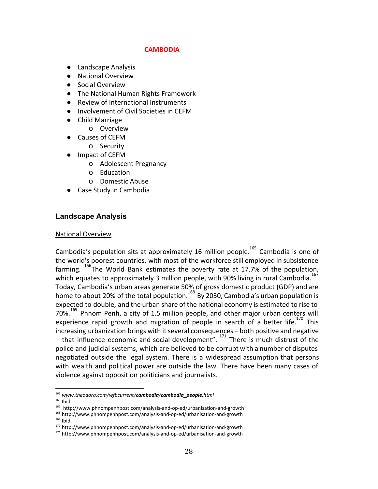# **CAMBODIA**

- Landscape Analysis
- National Overview
- Social Overview
- The National Human Rights Framework
- Review of International Instruments
- Involvement of Civil Societies in CEFM
- Child Marriage
	- o Overview
- Causes of CEFM
	- o Security
- Impact of CEFM
	- o Adolescent Pregnancy
	- o Education
	- o Domestic Abuse
- **Case Study in Cambodia**

# **Landscape Analysis**

#### National Overview

Cambodia's population sits at approximately 16 million people.<sup>165</sup> Cambodia is one of the world's poorest countries, with most of the workforce still employed in subsistence farming.  $166$  The World Bank estimates the poverty rate at 17.7% of the population, which equates to approximately 3 million people, with 90% living in rural Cambodia.<sup>16</sup> Today, Cambodia's urban areas generate 50% of gross domestic product (GDP) and are home to about 20% of the total population.  $^{168}$  By 2030, Cambodia's urban population is expected to double, and the urban share of the national economy is estimated to rise to  $70\%$ <sup>169</sup> Phnom Penh, a city of 1.5 million people, and other major urban centers will experience rapid growth and migration of people in search of a better life.<sup>170</sup> This increasing urbanization brings with it several consequences - both positive and negative – that influence economic and social development".  $171$  There is much distrust of the police and judicial systems, which are believed to be corrupt with a number of disputes negotiated outside the legal system. There is a widespread assumption that persons with wealth and political power are outside the law. There have been many cases of violence against opposition politicians and journalists.

<sup>&</sup>lt;sup>165</sup> www.theodora.com/wfbcurrent/cambodia/cambodia\_people.html *www.theodora.com/wfbcurrent/cambodia/cambodia\_people.html*

 $166$  Ibid.

<sup>167</sup> http://www.phnompenhpost.com/analysis-and-op-ed/urbanisation-and-growth

<sup>168</sup> http://www.phnompenhpost.com/analysis-and-op-ed/urbanisation-and-growth  $169$  Ibid.

<sup>170</sup> http://www.phnompenhpost.com/analysis-and-op-ed/urbanisation-and-growth

<sup>&</sup>lt;sup>171</sup> http://www.phnompenhpost.com/analysis-and-op-ed/urbanisation-and-growth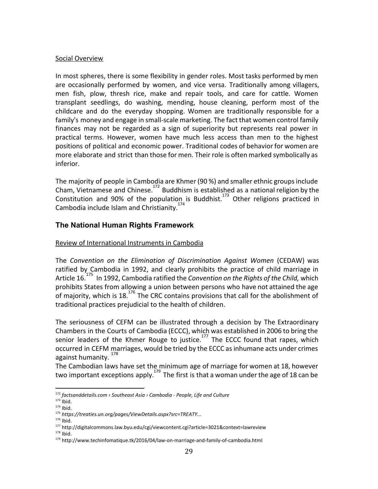# Social Overview

In most spheres, there is some flexibility in gender roles. Most tasks performed by men are occasionally performed by women, and vice versa. Traditionally among villagers, men fish, plow, thresh rice, make and repair tools, and care for cattle. Women transplant seedlings, do washing, mending, house cleaning, perform most of the childcare and do the everyday shopping. Women are traditionally responsible for a family's money and engage in small-scale marketing. The fact that women control family finances may not be regarded as a sign of superiority but represents real power in practical terms. However, women have much less access than men to the highest positions of political and economic power. Traditional codes of behavior for women are more elaborate and strict than those for men. Their role is often marked symbolically as inferior.

The majority of people in Cambodia are Khmer (90 %) and smaller ethnic groups include Cham, Vietnamese and Chinese.<sup>172</sup> Buddhism is established as a national religion by the Constitution and 90% of the population is Buddhist.<sup>173</sup> Other religions practiced in Cambodia include Islam and Christianity.<sup>174</sup>

# **The National Human Rights Framework**

# Review of International Instruments in Cambodia

The *Convention on the Elimination of Discrimination Against Women* (CEDAW) was ratified by Cambodia in 1992, and clearly prohibits the practice of child marriage in Article 16.<sup>175</sup> In 1992, Cambodia ratified the *Convention* on the Rights of the Child, which prohibits States from allowing a union between persons who have not attained the age of majority, which is 18. $176$  The CRC contains provisions that call for the abolishment of traditional practices prejudicial to the health of children.

The seriousness of CEFM can be illustrated through a decision by The Extraordinary Chambers in the Courts of Cambodia (ECCC), which was established in 2006 to bring the senior leaders of the Khmer Rouge to justice.<sup>177</sup> The ECCC found that rapes, which occurred in CEFM marriages, would be tried by the ECCC asinhumane acts under crimes against humanity.<sup>178</sup>

The Cambodian laws have set the minimum age of marriage for women at 18, however two important exceptions apply.<sup>179</sup> The first is that a woman under the age of 18 can be

<sup>172</sup> *factsanddetails.com › Southeast Asia › Cambodia - People, Life and Culture*

 $173$  Ibid.

 $174$  Ibid.

<sup>175</sup> *https://treaties.un.org/pages/ViewDetails.aspx?src=TREATY...*

 $176$  Ibid.

<sup>177</sup> http://digitalcommons.law.byu.edu/cgi/viewcontent.cgi?article=3021&context=lawreview

 $178$  Ibid.

<sup>179</sup> http://www.techinfomatique.tk/2016/04/law-on-marriage-and-family-of-cambodia.html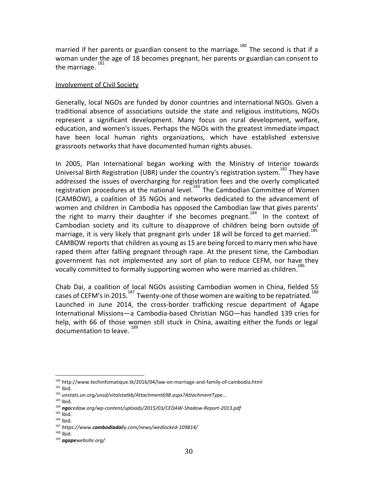married if her parents or guardian consent to the marriage.<sup>180</sup> The second is that if a woman under the age of 18 becomes pregnant, her parents or guardian can consent to the marriage.<sup>181</sup>

### Involvement of Civil Society

Generally, local NGOs are funded by donor countries and international NGOs. Given a traditional absence of associations outside the state and religious institutions, NGOs represent a significant development. Many focus on rural development, welfare, education, and women's issues. Perhaps the NGOs with the greatest immediate impact have been local human rights organizations, which have established extensive grassroots networks that have documented human rights abuses.

In 2005, Plan International began working with the Ministry of Interior towards Universal Birth Registration (UBR) under the country's registration system.<sup>182</sup> They have addressed the issues of overcharging for registration fees and the overly complicated registration procedures at the national level.<sup>183</sup> The Cambodian Committee of Women (CAMBOW), a coalition of 35 NGOs and networks dedicated to the advancement of women and children in Cambodia has opposed the Cambodian law that gives parents' the right to marry their daughter if she becomes pregnant.<sup>184</sup> In the context of Cambodian society and its culture to disapprove of children being born outside of marriage, it is very likely that pregnant girls under 18 will be forced to get married.<sup>185</sup> CAMBOW reports that children as young as 15 are being forced to marry men who have raped them after falling pregnant through rape. At the present time, the Cambodian government has not implemented any sort of plan to reduce CEFM, nor have they vocally committed to formally supporting women who were married as children.<sup>1</sup>

Chab Dai, a coalition of local NGOs assisting Cambodian women in China, fielded 55 cases of CEFM's in 2015.<sup>187</sup> Twenty-one of those women are waiting to be repatriated.<sup>188</sup> Launched in June 2014, the cross-border trafficking rescue department of Agape International Missions—a Cambodia-based Christian NGO—has handled 139 cries for help, with 66 of those women still stuck in China, awaiting either the funds or legal documentation to leave.

<sup>180</sup> http://www.techinfomatique.tk/2016/04/law-on-marriage-and-family-of-cambodia.html

 $181$  Ibid.

<sup>182</sup> *unstats.un.org/unsd/vitalstatkb/Attachment698.aspx?AttachmentType...*

 $183$  Ibid.

<sup>&</sup>lt;sup>184</sup> ngocedaw.org/wp-content/uploads/2015/03/CEDAW-Shadow-Report-2013.pdf *ngocedaw.org/wp-content/uploads/2015/03/CEDAW-Shadow-Report-2013.pdf*

 $185$  Ibid.

 $186$  Ibid.

<sup>&</sup>lt;sup>187</sup> https://www.cambodiadaily.com/news/wedlocked-109814/ *https://www.cambodiadaily.com/news/wedlocked-109814/*

<sup>188</sup> Ibid.

 $189$  agapewebsite.org/ *agapewebsite.org/*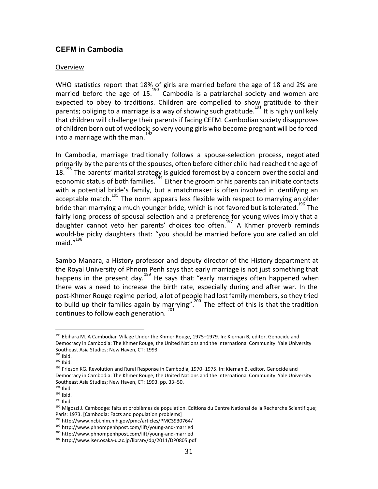# **CEFM in Cambodia**

#### Overview

WHO statistics report that 18% of girls are married before the age of 18 and 2% are married before the age of  $15.<sup>190</sup>$  Cambodia is a patriarchal society and women are expected to obey to traditions. Children are compelled to show gratitude to their parents; obliging to a marriage is a way of showing such gratitude.<sup>191</sup> It is highly unlikely that children will challenge their parents if facing CEFM. Cambodian society disapproves of children born out of wedlock; so very young girls who become pregnant will be forced into a marriage with the man.<sup>1</sup>

In Cambodia, marriage traditionally follows a spouse-selection process, negotiated primarily by the parents of the spouses, often before either child had reached the age of  $18.<sup>193</sup>$  The parents' marital strategy is guided foremost by a concern over the social and economic status of both families.<sup>194</sup> Either the groom or his parents can initiate contacts with a potential bride's family, but a matchmaker is often involved in identifying an acceptable match.<sup>195</sup> The norm appears less flexible with respect to marrying an older bride than marrying a much younger bride, which is not favored but is tolerated.<sup>196</sup> The fairly long process of spousal selection and a preference for young wives imply that a daughter cannot veto her parents' choices too often.<sup>197</sup> A Khmer proverb reminds would-be picky daughters that: "you should be married before you are called an old maid. $n^{198}$ 

Sambo Manara, a History professor and deputy director of the History department at the Royal University of Phnom Penh says that early marriage is not just something that happens in the present day.<sup>199</sup> He says that: "early marriages often happened when there was a need to increase the birth rate, especially during and after war. In the post-Khmer Rouge regime period, a lot of people had lost family members, so they tried to build up their families again by marrying".<sup>200</sup> The effect of this is that the tradition continues to follow each generation.  $201$ 

<sup>190</sup> Ebihara M. A Cambodian Village Under the Khmer Rouge, 1975–1979. In: Kiernan B, editor. Genocide and Democracy in Cambodia: The Khmer Rouge, the United Nations and the International Community. Yale University Southeast Asia Studies; New Haven, CT: 1993

 $191$  Ibid.

 $192$  Ibid.

<sup>&</sup>lt;sup>193</sup> Frieson KG. Revolution and Rural Response in Cambodia, 1970–1975. In: Kiernan B, editor. Genocide and Democracy in Cambodia: The Khmer Rouge, the United Nations and the International Community. Yale University Southeast Asia Studies; New Haven, CT: 1993. pp. 33–50.

 $194$  Ibid.

 $195$  Ibid.

 $196$  Ibid.

<sup>&</sup>lt;sup>197</sup> Migozzi J. Cambodge: faits et problèmes de population. Editions du Centre National de la Recherche Scientifique; Paris: 1973. [Cambodia: Facts and population problems]

<sup>198</sup> http://www.ncbi.nlm.nih.gov/pmc/articles/PMC3930764/

<sup>199</sup> http://www.phnompenhpost.com/lift/young-and-married

<sup>200</sup> http://www.phnompenhpost.com/lift/young-and-married

<sup>201</sup> http://www.iser.osaka-u.ac.jp/library/dp/2011/DP0805.pdf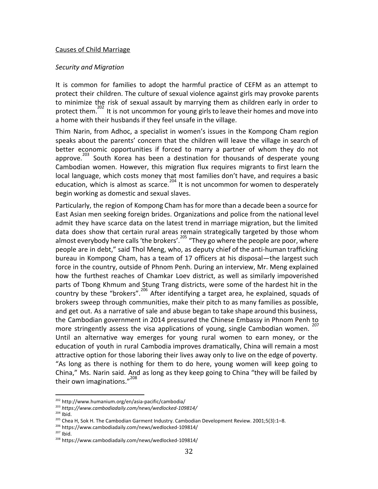#### Causes of Child Marriage

#### *Security and Migration*

It is common for families to adopt the harmful practice of CEFM as an attempt to protect their children. The culture of sexual violence against girls may provoke parents to minimize the risk of sexual assault by marrying them as children early in order to protect them.<sup>202</sup> It is not uncommon for young girls to leave their homes and move into a home with their husbands if they feel unsafe in the village.

Thim Narin, from Adhoc, a specialist in women's issues in the Kompong Cham region speaks about the parents' concern that the children will leave the village in search of better economic opportunities if forced to marry a partner of whom they do not approve.<sup>203</sup> South Korea has been a destination for thousands of desperate young Cambodian women. However, this migration flux requires migrants to first learn the local language, which costs money that most families don't have, and requires a basic education, which is almost as scarce.<sup>204</sup> It is not uncommon for women to desperately begin working as domestic and sexual slaves.

Particularly, the region of Kompong Cham hasfor more than a decade been a source for East Asian men seeking foreign brides. Organizations and police from the national level admit they have scarce data on the latest trend in marriage migration, but the limited data does show that certain rural areas remain strategically targeted by those whom almost everybody here calls 'the brokers'.<sup>265</sup> "They go where the people are poor, where people are in debt," said Thol Meng, who, as deputy chief of the anti-human trafficking bureau in Kompong Cham, has a team of 17 officers at his disposal—the largest such force in the country, outside of Phnom Penh. During an interview, Mr. Meng explained how the furthest reaches of Chamkar Loev district, as well as similarly impoverished parts of Tbong Khmum and Stung Trang districts, were some of the hardest hit in the country by these "brokers".<sup>206</sup> After identifying a target area, he explained, squads of brokers sweep through communities, make their pitch to as many families as possible, and get out. As a narrative of sale and abuse began to take shape around this business, the Cambodian government in 2014 pressured the Chinese Embassy in Phnom Penh to more stringently assess the visa applications of young, single Cambodian women. <sup>207</sup> Until an alternative way emerges for young rural women to earn money, or the education of youth in rural Cambodia improves dramatically, China will remain a most attractive option for those laboring their lives away only to live on the edge of poverty. "As long as there is nothing for them to do here, young women will keep going to China," Ms. Narin said. And as long as they keep going to China "they will be failed by their own imaginations."<sup>208</sup>

<sup>202</sup> http://www.humanium.org/en/asia-pacific/cambodia/

<sup>203</sup> *https://www.cambodiadaily.com/news/wedlocked-109814/*

 $204$  Ibid.

<sup>&</sup>lt;sup>205</sup> Chea H, Sok H. The Cambodian Garment Industry. Cambodian Development Review. 2001;5(3):1–8.

<sup>206</sup> https://www.cambodiadaily.com/news/wedlocked-109814/

 $207$  Ibid.

<sup>208</sup> https://www.cambodiadaily.com/news/wedlocked-109814/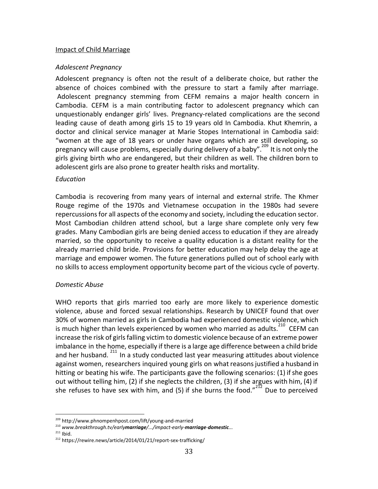#### Impact of Child Marriage

#### *Adolescent Pregnancy*

Adolescent pregnancy is often not the result of a deliberate choice, but rather the absence of choices combined with the pressure to start a family after marriage. Adolescent pregnancy stemming from CEFM remains a major health concern in Cambodia. CEFM is a main contributing factor to adolescent pregnancy which can unquestionably endanger girls' lives. Pregnancy-related complications are the second leading cause of death among girls 15 to 19 years old In Cambodia. Khut Khemrin, a doctor and clinical service manager at Marie Stopes International in Cambodia said: "women at the age of 18 years or under have organs which are still developing, so pregnancy will cause problems, especially during delivery of a baby".<sup>209</sup> It is not only the girls giving birth who are endangered, but their children as well. The children born to adolescent girls are also prone to greater health risks and mortality.

#### *Education*

Cambodia is recovering from many years of internal and external strife. The Khmer Rouge regime of the 1970s and Vietnamese occupation in the 1980s had severe repercussions for all aspects of the economy and society, including the education sector. Most Cambodian children attend school, but a large share complete only very few grades. Many Cambodian girls are being denied access to education if they are already married, so the opportunity to receive a quality education is a distant reality for the already married child bride. Provisions for better education may help delay the age at marriage and empower women. The future generations pulled out of school early with no skills to access employment opportunity become part of the vicious cycle of poverty.

#### *Domestic Abuse*

WHO reports that girls married too early are more likely to experience domestic violence, abuse and forced sexual relationships. Research by UNICEF found that over 30% of women married as girls in Cambodia had experienced domestic violence, which is much higher than levels experienced by women who married as adults.  $^{210}$  CEFM can increase the risk of girls falling victim to domestic violence because of an extreme power imbalance in the home, especially if there is a large age difference between a child bride and her husband.  $211$  In a study conducted last year measuring attitudes about violence against women, researchers inquired young girls on what reasons justified a husband in hitting or beating his wife. The participants gave the following scenarios:  $(1)$  if she goes out without telling him, (2) if she neglects the children, (3) if she argues with him, (4) if she refuses to have sex with him, and (5) if she burns the food." $^{212}$  Due to perceived

 $211$  Ibid.

<sup>209</sup> http://www.phnompenhpost.com/lift/young-and-married

<sup>&</sup>lt;sup>210</sup> www.breakthrough.tv/earlymarriage/.../impact-early-marriage-domestic... *www.breakthrough.tv/earlymarriage/.../impact-early-marriage-domestic...*

<sup>212</sup> https://rewire.news/article/2014/01/21/report-sex-trafficking/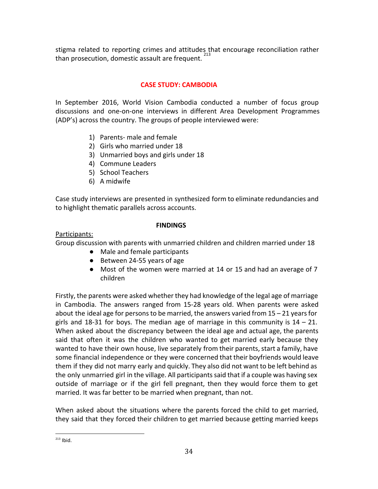stigma related to reporting crimes and attitudes that encourage reconciliation rather than prosecution, domestic assault are frequent. <sup>213</sup>

# **CASE STUDY: CAMBODIA**

In September 2016, World Vision Cambodia conducted a number of focus group discussions and one-on-one interviews in different Area Development Programmes (ADP's) across the country. The groups of people interviewed were:

- 1) Parents- male and female
- 2) Girls who married under 18
- 3) Unmarried boys and girls under 18
- 4) Commune Leaders
- 5) School Teachers
- 6) A midwife

Case study interviews are presented in synthesized form to eliminate redundancies and to highlight thematic parallels across accounts.

# **FINDINGS**

Participants:

Group discussion with parents with unmarried children and children married under 18

- Male and female participants
- Between 24-55 years of age
- Most of the women were married at 14 or 15 and had an average of 7 children

Firstly, the parents were asked whether they had knowledge of the legal age of marriage in Cambodia. The answers ranged from 15-28 years old. When parents were asked about the ideal age for persons to be married, the answers varied from  $15 - 21$  years for girls and 18-31 for boys. The median age of marriage in this community is  $14 - 21$ . When asked about the discrepancy between the ideal age and actual age, the parents said that often it was the children who wanted to get married early because they wanted to have their own house, live separately from their parents, start a family, have some financial independence or they were concerned that their boyfriends would leave them if they did not marry early and quickly. They also did not want to be left behind as the only unmarried girl in the village. All participantssaid that if a couple was having sex outside of marriage or if the girl fell pregnant, then they would force them to get married. It was far better to be married when pregnant, than not.

When asked about the situations where the parents forced the child to get married, they said that they forced their children to get married because getting married keeps

 $213$  Ibid.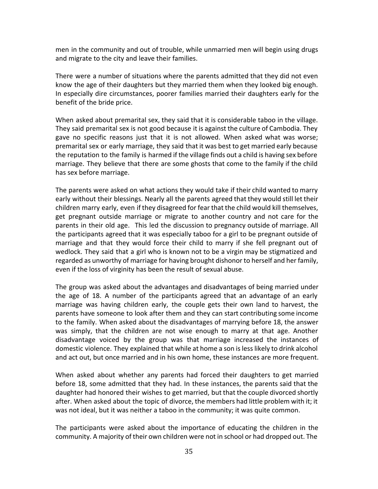men in the community and out of trouble, while unmarried men will begin using drugs and migrate to the city and leave their families.

There were a number of situations where the parents admitted that they did not even know the age of their daughters but they married them when they looked big enough. In especially dire circumstances, poorer families married their daughters early for the benefit of the bride price.

When asked about premarital sex, they said that it is considerable taboo in the village. They said premarital sex is not good because it is against the culture of Cambodia. They gave no specific reasons just that it is not allowed. When asked what was worse; premarital sex or early marriage, they said that it was best to get married early because the reputation to the family is harmed if the village finds out a child is having sex before marriage. They believe that there are some ghosts that come to the family if the child has sex before marriage.

The parents were asked on what actions they would take if their child wanted to marry early without their blessings. Nearly all the parents agreed that they would still let their children marry early, even if they disagreed for fear that the child would kill themselves, get pregnant outside marriage or migrate to another country and not care for the parents in their old age. This led the discussion to pregnancy outside of marriage. All the participants agreed that it was especially taboo for a girl to be pregnant outside of marriage and that they would force their child to marry if she fell pregnant out of wedlock. They said that a girl who is known not to be a virgin may be stigmatized and regarded as unworthy of marriage for having brought dishonor to herself and her family, even if the loss of virginity has been the result of sexual abuse.

The group was asked about the advantages and disadvantages of being married under the age of 18. A number of the participants agreed that an advantage of an early marriage was having children early, the couple gets their own land to harvest, the parents have someone to look after them and they can start contributing some income to the family. When asked about the disadvantages of marrying before 18, the answer was simply, that the children are not wise enough to marry at that age. Another disadvantage voiced by the group was that marriage increased the instances of domestic violence. They explained that while at home a son islesslikely to drink alcohol and act out, but once married and in his own home, these instances are more frequent.

When asked about whether any parents had forced their daughters to get married before 18, some admitted that they had. In these instances, the parents said that the daughter had honored their wishes to get married, but that the couple divorced shortly after. When asked about the topic of divorce, the members had little problem with it; it was not ideal, but it was neither a taboo in the community; it was quite common.

The participants were asked about the importance of educating the children in the community. A majority of their own children were not in school or had dropped out. The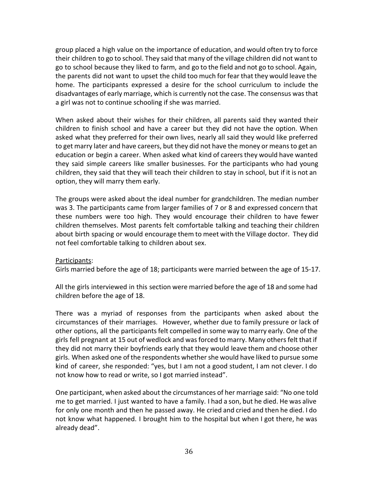group placed a high value on the importance of education, and would often try to force their children to go to school. They said that many of the village children did not want to go to school because they liked to farm, and go to the field and not go to school. Again, the parents did not want to upset the child too much for fear that they would leave the home. The participants expressed a desire for the school curriculum to include the disadvantages of early marriage, which is currently not the case. The consensus wasthat a girl was not to continue schooling if she was married.

When asked about their wishes for their children, all parents said they wanted their children to finish school and have a career but they did not have the option. When asked what they preferred for their own lives, nearly all said they would like preferred to get marry later and have careers, but they did not have the money or meansto get an education or begin a career. When asked what kind of careers they would have wanted they said simple careers like smaller businesses. For the participants who had young children, they said that they will teach their children to stay in school, but if it is not an option, they will marry them early.

The groups were asked about the ideal number for grandchildren. The median number was 3. The participants came from larger families of 7 or 8 and expressed concern that these numbers were too high. They would encourage their children to have fewer children themselves. Most parents felt comfortable talking and teaching their children about birth spacing or would encourage them to meet with the Village doctor. They did not feel comfortable talking to children about sex.

#### Participants:

Girls married before the age of 18; participants were married between the age of 15-17.

All the girls interviewed in this section were married before the age of 18 and some had children before the age of 18.

There was a myriad of responses from the participants when asked about the circumstances of their marriages. However, whether due to family pressure or lack of other options, all the participants felt compelled in some way to marry early. One of the girls fell pregnant at 15 out of wedlock and wasforced to marry. Many othersfelt that if they did not marry their boyfriends early that they would leave them and choose other girls. When asked one of the respondents whethershe would have liked to pursue some kind of career, she responded: "yes, but I am not a good student, I am not clever. I do not know how to read or write, so I got married instead".

One participant, when asked about the circumstances of her marriage said: "No one told me to get married. I just wanted to have a family. I had a son, but he died. He was alive for only one month and then he passed away. He cried and cried and then he died. I do not know what happened. I brought him to the hospital but when I got there, he was already dead".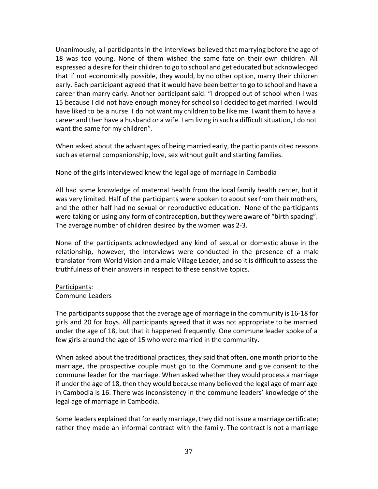Unanimously, all participants in the interviews believed that marrying before the age of 18 was too young. None of them wished the same fate on their own children. All expressed a desire for their children to go to school and get educated but acknowledged that if not economically possible, they would, by no other option, marry their children early. Each participant agreed that it would have been better to go to school and have a career than marry early. Another participant said: "I dropped out of school when I was 15 because I did not have enough money forschoolso I decided to get married. I would have liked to be a nurse. I do not want my children to be like me. I want them to have a career and then have a husband or a wife. I am living in such a difficult situation, I do not want the same for my children".

When asked about the advantages of being married early, the participants cited reasons such as eternal companionship, love, sex without guilt and starting families.

None of the girls interviewed knew the legal age of marriage in Cambodia

All had some knowledge of maternal health from the local family health center, but it was very limited. Half of the participants were spoken to about sex from their mothers, and the other half had no sexual or reproductive education. None of the participants were taking or using any form of contraception, but they were aware of "birth spacing". The average number of children desired by the women was 2-3.

None of the participants acknowledged any kind of sexual or domestic abuse in the relationship, however, the interviews were conducted in the presence of a male translator from World Vision and a male Village Leader, and so it is difficult to assessthe truthfulness of their answers in respect to these sensitive topics.

# Participants:

#### Commune Leaders

The participants suppose that the average age of marriage in the community is 16-18 for girls and 20 for boys. All participants agreed that it was not appropriate to be married under the age of 18, but that it happened frequently. One commune leader spoke of a few girls around the age of 15 who were married in the community.

When asked about the traditional practices, they said that often, one month prior to the marriage, the prospective couple must go to the Commune and give consent to the commune leader for the marriage. When asked whether they would process a marriage if under the age of 18, then they would because many believed the legal age of marriage in Cambodia is 16. There was inconsistency in the commune leaders' knowledge of the legal age of marriage in Cambodia.

Some leaders explained that for early marriage, they did not issue a marriage certificate; rather they made an informal contract with the family. The contract is not a marriage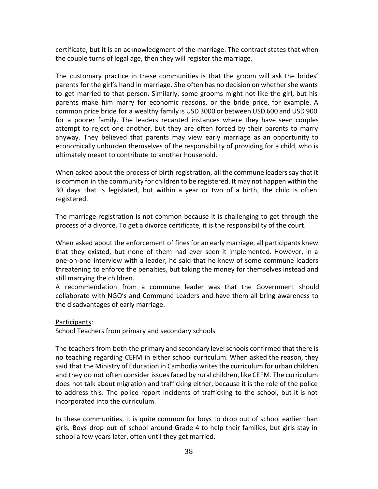certificate, but it is an acknowledgment of the marriage. The contract states that when the couple turns of legal age, then they will register the marriage.

The customary practice in these communities is that the groom will ask the brides' parents for the girl's hand in marriage. She often has no decision on whether she wants to get married to that person. Similarly, some grooms might not like the girl, but his parents make him marry for economic reasons, or the bride price, for example. A common price bride for a wealthy family is USD 3000 or between USD 600 and USD 900 for a poorer family. The leaders recanted instances where they have seen couples attempt to reject one another, but they are often forced by their parents to marry anyway. They believed that parents may view early marriage as an opportunity to economically unburden themselves of the responsibility of providing for a child, who is ultimately meant to contribute to another household.

When asked about the process of birth registration, all the commune leaders say that it is common in the community for children to be registered. It may not happen within the 30 days that is legislated, but within a year or two of a birth, the child is often registered.

The marriage registration is not common because it is challenging to get through the process of a divorce. To get a divorce certificate, it is the responsibility of the court.

When asked about the enforcement of fines for an early marriage, all participants knew that they existed, but none of them had ever seen it implemented. However, in a one-on-one interview with a leader, he said that he knew of some commune leaders threatening to enforce the penalties, but taking the money for themselves instead and still marrying the children.

A recommendation from a commune leader was that the Government should collaborate with NGO's and Commune Leaders and have them all bring awareness to the disadvantages of early marriage.

Participants:

School Teachers from primary and secondary schools

The teachers from both the primary and secondary level schools confirmed that there is no teaching regarding CEFM in either school curriculum. When asked the reason, they said that the Ministry of Education in Cambodia writesthe curriculum for urban children and they do not often consider issues faced by rural children, like CEFM. The curriculum does not talk about migration and trafficking either, because it is the role of the police to address this. The police report incidents of trafficking to the school, but it is not incorporated into the curriculum.

In these communities, it is quite common for boys to drop out of school earlier than girls. Boys drop out of school around Grade 4 to help their families, but girls stay in school a few years later, often until they get married.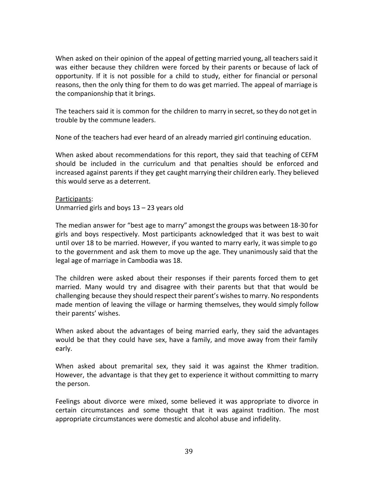When asked on their opinion of the appeal of getting married young, all teachers said it was either because they children were forced by their parents or because of lack of opportunity. If it is not possible for a child to study, either for financial or personal reasons, then the only thing for them to do was get married. The appeal of marriage is the companionship that it brings.

The teachers said it is common for the children to marry in secret, so they do not get in trouble by the commune leaders.

None of the teachers had ever heard of an already married girl continuing education.

When asked about recommendations for this report, they said that teaching of CEFM should be included in the curriculum and that penalties should be enforced and increased against parents if they get caught marrying their children early. They believed this would serve as a deterrent.

Participants: Unmarried girls and boys 13 – 23 years old

The median answer for "best age to marry" amongst the groups was between 18-30 for girls and boys respectively. Most participants acknowledged that it was best to wait until over 18 to be married. However, if you wanted to marry early, it wassimple to go to the government and ask them to move up the age. They unanimously said that the legal age of marriage in Cambodia was 18.

The children were asked about their responses if their parents forced them to get married. Many would try and disagree with their parents but that that would be challenging because they should respect their parent's wishesto marry. No respondents made mention of leaving the village or harming themselves, they would simply follow their parents' wishes.

When asked about the advantages of being married early, they said the advantages would be that they could have sex, have a family, and move away from their family early.

When asked about premarital sex, they said it was against the Khmer tradition. However, the advantage is that they get to experience it without committing to marry the person.

Feelings about divorce were mixed, some believed it was appropriate to divorce in certain circumstances and some thought that it was against tradition. The most appropriate circumstances were domestic and alcohol abuse and infidelity.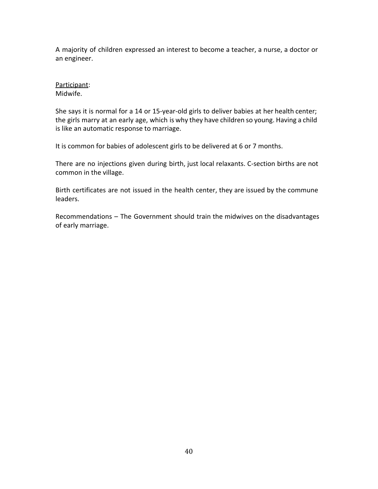A majority of children expressed an interest to become a teacher, a nurse, a doctor or an engineer.

Participant: Midwife.

She says it is normal for a 14 or 15-year-old girls to deliver babies at her health center; the girls marry at an early age, which is why they have children so young. Having a child is like an automatic response to marriage.

It is common for babies of adolescent girls to be delivered at 6 or 7 months.

There are no injections given during birth, just local relaxants. C-section births are not common in the village.

Birth certificates are not issued in the health center, they are issued by the commune leaders.

Recommendations – The Government should train the midwives on the disadvantages of early marriage.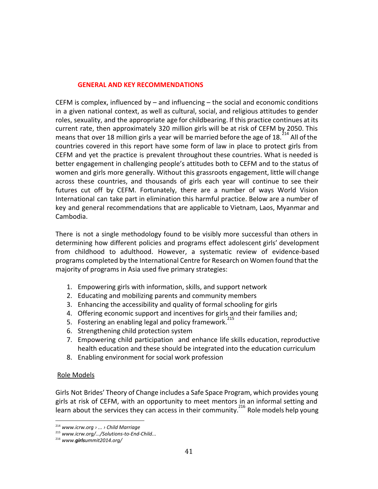### **GENERAL AND KEY RECOMMENDATIONS**

CEFM is complex, influenced by  $-$  and influencing  $-$  the social and economic conditions in a given national context, as well as cultural, social, and religious attitudes to gender roles, sexuality, and the appropriate age for childbearing. If this practice continues at its current rate, then approximately 320 million girls will be at risk of CEFM by 2050. This means that over 18 million girls a year will be married before the age of 18.<sup>214</sup> All of the countries covered in this report have some form of law in place to protect girls from CEFM and yet the practice is prevalent throughout these countries. What is needed is better engagement in challenging people's attitudes both to CEFM and to the status of women and girls more generally. Without this grassroots engagement, little will change across these countries, and thousands of girls each year will continue to see their futures cut off by CEFM. Fortunately, there are a number of ways World Vision International can take part in elimination this harmful practice. Below are a number of key and general recommendations that are applicable to Vietnam, Laos, Myanmar and Cambodia.

There is not a single methodology found to be visibly more successful than others in determining how different policies and programs effect adolescent girls' development from childhood to adulthood. However, a systematic review of evidence-based programs completed by the International Centre for Research on Women found that the majority of programs in Asia used five primary strategies:

- 1. Empowering girls with information, skills, and support network
- 2. Educating and mobilizing parents and community members
- 3. Enhancing the accessibility and quality of formal schooling for girls
- 4. Offering economic support and incentives for girls and their families and;
- 5. Fostering an enabling legal and policy framework.<sup>215</sup>
- 6. Strengthening child protection system
- 7. Empowering child participation and enhance life skills education, reproductive health education and these should be integrated into the education curriculum
- 8. Enabling environment for social work profession

# Role Models

Girls Not Brides' Theory of Change includes a Safe Space Program, which provides young girls at risk of CEFM, with an opportunity to meet mentors in an informal setting and learn about the services they can access in their community.<sup>216</sup> Role models help young

<sup>214</sup> *www.icrw.org › ... › Child Marriage*

<sup>215</sup> *www.icrw.org/.../Solutions-to-End-Child...*

<sup>&</sup>lt;sup>216</sup> www.girlsummit2014.org/ *www.girlsummit2014.org/*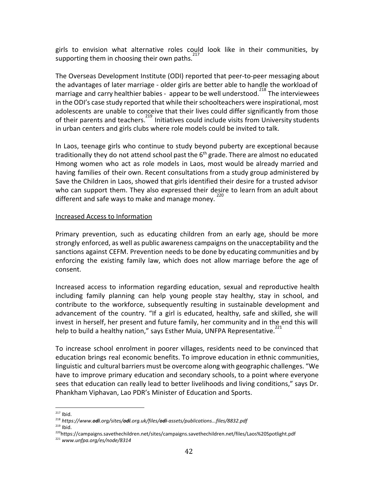girls to envision what alternative roles could look like in their communities, by supporting them in choosing their own paths.<sup>217</sup>

The Overseas Development Institute (ODI) reported that peer-to-peer messaging about the advantages of later marriage - older girls are better able to handle the workload of marriage and carry healthier babies - appear to be well understood.<sup>218</sup> The interviewees in the ODI's case study reported that while their schoolteachers were inspirational, most adolescents are unable to conceive that their lives could differ significantly from those of their parents and teachers.<sup>219</sup> Initiatives could include visits from University students in urban centers and girls clubs where role models could be invited to talk.

In Laos, teenage girls who continue to study beyond puberty are exceptional because traditionally they do not attend school past the 6<sup>th</sup> grade. There are almost no educated Hmong women who act as role models in Laos, most would be already married and having families of their own. Recent consultations from a study group administered by Save the Children in Laos, showed that girls identified their desire for a trusted advisor who can support them. They also expressed their desire to learn from an adult about different and safe ways to make and manage money.

#### Increased Access to Information

Primary prevention, such as educating children from an early age, should be more strongly enforced, as well as public awareness campaigns on the unacceptability and the sanctions against CEFM. Prevention needs to be done by educating communities and by enforcing the existing family law, which does not allow marriage before the age of consent.

Increased access to information regarding education, sexual and reproductive health including family planning can help young people stay healthy, stay in school, and contribute to the workforce, subsequently resulting in sustainable development and advancement of the country. "If a girl is educated, healthy, safe and skilled, she will invest in herself, her present and future family, her community and in the end this will help to build a healthy nation," says Esther Muia, UNFPA Representative.<sup>221</sup>

To increase school enrolment in poorer villages, residents need to be convinced that education brings real economic benefits. To improve education in ethnic communities, linguistic and cultural barriers must be overcome along with geographic challenges. "We have to improve primary education and secondary schools, to a point where everyone sees that education can really lead to better livelihoods and living conditions," says Dr. Phankham Viphavan, Lao PDR's Minister of Education and Sports.

 $217$  Ibid.

<sup>&</sup>lt;sup>218</sup> https://www.odi.org/sites/odi.org.uk/files/odi-assets/publications...files/8832.pdf *https://www.odi.org/sites/odi.org.uk/files/odi-assets/publications...files/8832.pdf*

 $219$  Ibid.

<sup>220</sup>https://campaigns.savethechildren.net/sites/campaigns.savethechildren.net/files/Laos%20Spotlight.pdf

<sup>221</sup> *www.unfpa.org/es/node/8314*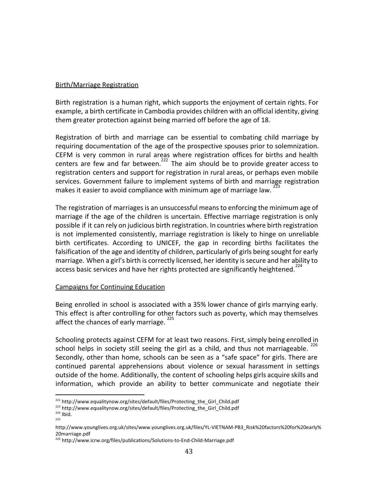### Birth/Marriage Registration

Birth registration is a human right, which supports the enjoyment of certain rights. For example, a birth certificate in Cambodia provides children with an official identity, giving them greater protection against being married off before the age of 18.

Registration of birth and marriage can be essential to combating child marriage by requiring documentation of the age of the prospective spouses prior to solemnization. CEFM is very common in rural areas where registration offices for births and health centers are few and far between.<sup>222</sup> The aim should be to provide greater access to registration centers and support for registration in rural areas, or perhaps even mobile services. Government failure to implement systems of birth and marriage registration makes it easier to avoid compliance with minimum age of marriage law.

The registration of marriages is an unsuccessful means to enforcing the minimum age of marriage if the age of the children is uncertain. Effective marriage registration is only possible if it can rely on judicious birth registration. In countries where birth registration is not implemented consistently, marriage registration is likely to hinge on unreliable birth certificates. According to UNICEF, the gap in recording births facilitates the falsification of the age and identity of children, particularly of girls being sought for early marriage. When a girl's birth is correctly licensed, her identity issecure and her ability to access basic services and have her rights protected are significantly heightened.<sup>224</sup>

# Campaigns for Continuing Education

Being enrolled in school is associated with a 35% lower chance of girls marrying early. This effect is after controlling for other factors such as poverty, which may themselves affect the chances of early marriage. <sup>225</sup>

Schooling protects against CEFM for at least two reasons. First, simply being enrolled in school helps in society still seeing the girl as a child, and thus not marriageable. Secondly, other than home, schools can be seen as a "safe space" for girls. There are continued parental apprehensions about violence or sexual harassment in settings outside of the home. Additionally, the content of schooling helps girls acquire skills and information, which provide an ability to better communicate and negotiate their

<sup>&</sup>lt;sup>222</sup> http://www.equalitynow.org/sites/default/files/Protecting\_the\_Girl\_Child.pdf

<sup>223</sup> http://www.equalitynow.org/sites/default/files/Protecting\_the\_Girl\_Child.pdf

 $224$  Ibid. 225

http://www.younglives.org.uk/sites/www.younglives.org.uk/files/YL-VIETNAM-PB3\_Risk%20factors%20for%20early% 20marriage.pdf

<sup>226</sup> http://www.icrw.org/files/publications/Solutions-to-End-Child-Marriage.pdf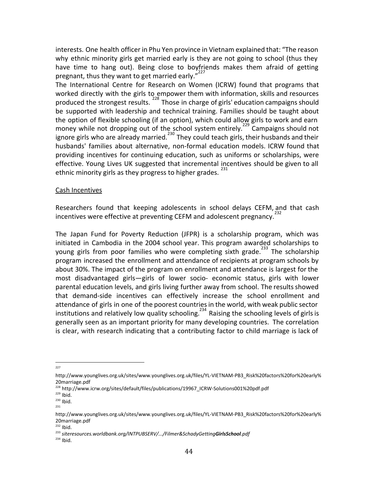interests. One health officer in Phu Yen province in Vietnam explained that: "The reason why ethnic minority girls get married early is they are not going to school (thus they have time to hang out). Being close to boyfriends makes them afraid of getting pregnant, thus they want to get married early."<sup>227</sup>

The International Centre for Research on Women (ICRW) found that programs that worked directly with the girls to empower them with information, skills and resources produced the strongest results.  $228$  Those in charge of girls' education campaigns should be supported with leadership and technical training. Families should be taught about the option of flexible schooling (if an option), which could allow girls to work and earn money while not dropping out of the school system entirely.<sup>229</sup> Campaigns should not ignore girls who are already married.<sup>230</sup> They could teach girls, their husbands and their husbands' families about alternative, non-formal education models. ICRW found that providing incentives for continuing education, such as uniforms or scholarships, were effective. Young Lives UK suggested that incremental incentives should be given to all ethnic minority girls as they progress to higher grades.<sup>231</sup>

#### Cash Incentives

Researchers found that keeping adolescents in school delays CEFM, and that cash incentives were effective at preventing CEFM and adolescent pregnancy.

The Japan Fund for Poverty Reduction (JFPR) is a scholarship program, which was initiated in Cambodia in the 2004 school year. This program awarded scholarships to young girls from poor families who were completing sixth grade.<sup>233</sup> The scholarship program increased the enrollment and attendance of recipients at program schools by about 30%. The impact of the program on enrollment and attendance is largest for the most disadvantaged girls—girls of lower socio- economic status, girls with lower parental education levels, and girls living further away from school. The results showed that demand-side incentives can effectively increase the school enrollment and attendance of girls in one of the poorest countries in the world, with weak public sector institutions and relatively low quality schooling.<sup>234</sup> Raising the schooling levels of girls is generally seen as an important priority for many developing countries. The correlation is clear, with research indicating that a contributing factor to child marriage is lack of

227

http://www.younglives.org.uk/sites/www.younglives.org.uk/files/YL-VIETNAM-PB3\_Risk%20factors%20for%20early% 20marriage.pdf

<sup>228</sup> http://www.icrw.org/sites/default/files/publications/19967\_ICRW-Solutions001%20pdf.pdf

 $229$  Ibid.

<sup>230</sup> Ibid. 231

http://www.younglives.org.uk/sites/www.younglives.org.uk/files/YL-VIETNAM-PB3\_Risk%20factors%20for%20early% 20marriage.pdf

 $232$  Ibid.

<sup>&</sup>lt;sup>233</sup> siteresources.worldbank.org/INTPUBSERV/.../Filmer&SchadyGettingGirlsSchool.pdf *siteresources.worldbank.org/INTPUBSERV/.../Filmer&SchadyGettingGirlsSchool.pdf*

<sup>234</sup> Ibid.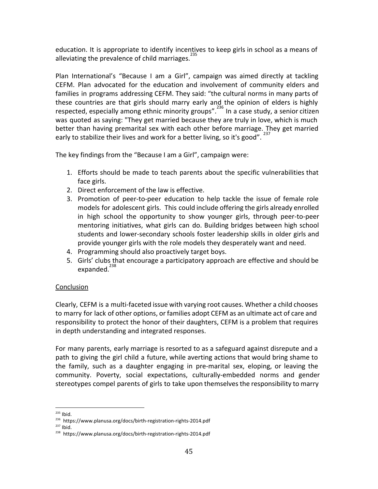education. It is appropriate to identify incentives to keep girls in school as a means of alleviating the prevalence of child marriages. $235$ 

Plan International's "Because I am a Girl", campaign was aimed directly at tackling CEFM. Plan advocated for the education and involvement of community elders and families in programs addressing CEFM. They said: "the cultural norms in many parts of these countries are that girls should marry early and the opinion of elders is highly respected, especially among ethnic minority groups".<sup>236</sup> In a case study, a senior citizen was quoted as saying: "They get married because they are truly in love, which is much better than having premarital sex with each other before marriage. They get married early to stabilize their lives and work for a better living, so it's good".  $^{23}$ 

The key findings from the "Because I am a Girl", campaign were:

- 1. Efforts should be made to teach parents about the specific vulnerabilities that face girls.
- 2. Direct enforcement of the law is effective.
- 3. Promotion of peer-to-peer education to help tackle the issue of female role models for adolescent girls. This could include offering the girls already enrolled in high school the opportunity to show younger girls, through peer-to-peer mentoring initiatives, what girls can do. Building bridges between high school students and lower-secondary schools foster leadership skills in older girls and provide younger girls with the role models they desperately want and need.
- 4. Programming should also proactively target boys.
- 5. Girls' clubs that encourage a participatory approach are effective and should be expanded. $^{238}$

# **Conclusion**

Clearly, CEFM is a multi-faceted issue with varying root causes. Whether a child chooses to marry for lack of other options, or families adopt CEFM as an ultimate act of care and responsibility to protect the honor of their daughters, CEFM is a problem that requires in depth understanding and integrated responses.

For many parents, early marriage is resorted to as a safeguard against disrepute and a path to giving the girl child a future, while averting actions that would bring shame to the family, such as a daughter engaging in pre-marital sex, eloping, or leaving the community. Poverty, social expectations, culturally-embedded norms and gender stereotypes compel parents of girls to take upon themselves the responsibility to marry

<sup>235</sup> Ibid.

<sup>236</sup> https://www.planusa.org/docs/birth-registration-rights-2014.pdf

<sup>237</sup> Ibid.

<sup>238</sup> https://www.planusa.org/docs/birth-registration-rights-2014.pdf